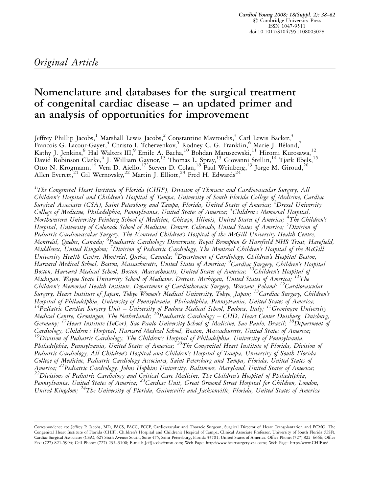# Nomenclature and databases for the surgical treatment of congenital cardiac disease – an updated primer and an analysis of opportunities for improvement

Jeffrey Phillip Jacobs,<sup>1</sup> Marshall Lewis Jacobs,<sup>2</sup> Constantine Mavroudis,<sup>3</sup> Carl Lewis Backer,<sup>3</sup> Francois G. Lacour-Gayet,<sup>4</sup> Christo I. Tchervenkov,<sup>5</sup> Rodney C. G. Franklin,<sup>6</sup> Marie J. Béland,<sup>7</sup> Kathy J. Jenkins, <sup>8</sup> Hal Walters III, <sup>9</sup> Emile A. Bacha, <sup>10</sup> Bohdan Maruszewski, <sup>11</sup> Hiromi Kurosawa, <sup>12</sup> David Robinson Clarke,<sup>4</sup> J. William Gaynor,<sup>13</sup> Thomas L. Spray,<sup>13</sup> Giovanni Stellin,<sup>14</sup> Tjark Ebels,<sup>15</sup> Otto N. Krogmann,<sup>16</sup> Vera D. Aiello,<sup>17</sup> Steven D. Colan,<sup>18</sup> Paul Weinberg,<sup>19</sup> Jorge M. Giroud,<sup>20</sup> Allen Everett,<sup>21</sup> Gil Wernovsky,<sup>22</sup> Martin J. Elliott,<sup>23</sup> Fred H. Edwards<sup>24</sup>

 $\rm ^1$ The Congenital Heart Institute of Florida (CHIF), Division of Thoracic and Cardiovascular Surgery, All Children's Hospital and Children's Hospital of Tampa, University of South Florida College of Medicine, Cardiac Surgical Associates (CSA), Saint Petersburg and Tampa, Florida, United States of America; <sup>2</sup>Drexel University College of Medicine, Philadelphia, Pennsylvania, United States of America; <sup>3</sup>Children's Memorial Hospital, Northwestern University Feinberg School of Medicine, Chicago, Illinois, United States of America; <sup>4</sup>The Children's Hospital, University of Colorado School of Medicine, Denver, Colorado, United States of America; <sup>5</sup>Division of Pediatric Cardiovascular Surgery, The Montreal Children's Hospital of the McGill University Health Centre, Montréal, Quebec, Canada; <sup>69</sup>Paediatric Cardiology Directorate, Royal Brompton & Harefield NHS Trust, Harefield, Middlesex, United Kingdom; <sup>7</sup>Division of Pediatric Cardiology, The Montreal Children's Hospital of the McGill University Health Centre, Montréal, Quebec, Canada; <sup>8</sup>Department of Cardiology, Children's Hospital Boston, Harvard Medical School, Boston, Massachusetts, United States of America; <sup>9</sup> Cardiac Surgery, Children's Hospital Boston, Harvard Medical School, Boston, Massachusetts, United States of America; <sup>10</sup>Children's Hospital of Michigan, Wayne State University School of Medicine, Detroit, Michigan, United States of America; 11The Children's Memorial Health Institute, Department of Cardiothoracic Surgery, Warsaw, Poland; <sup>12</sup>Cardiovascular Surgery, Heart Institute of Japan, Tokyo Women's Medical University, Tokyo, Japan; <sup>'13</sup>Cardiac Surgery, Children's Hospital of Philadelphia, University of Pennsylvania, Philadelphia, Pennsylvania, United States of America;  $^{14}$ Pediatric Cardiac Surgery Unit – University of Padova Medical School, Padova, Italy;  $^{15}$ Groningen University Medical Centre, Groningen, The Netherlands; <sup>16</sup>Paediatric Cardiology – CHD, Heart Center Duisburg, Duisburg, Germany; 17Heart Institute (InCor), Sao Paulo University School of Medicine, Sao Paulo, Brazil; 18Department of Cardiology, Children's Hospital, Harvard Medical School, Boston, Massachusetts, United States of America;  $^{19}$ Division of Pediatric Cardiology, The Children's Hospital of Philadelphia, University of Pennsylvania, Philadelphia, Pennsylvania, United States of America; <sup>20</sup>The Congenital Heart Institute of Florida, Division of Pediatric Cardiology, All Children's Hospital and Children's Hospital of Tampa, University of South Florida College of Medicine, Pediatric Cardiology Associates, Saint Petersburg and Tampa, Florida, United States of<br>America; <sup>21</sup>Pediatric Cardiology, Johns Hopkins University, Baltimore, Maryland, United States of America; America; 1 Catalistic Cardiology, Johns Hopkins University, America; Inc. 1998.<br><sup>22</sup>Divisions of Pediatric Cardiology and Critical Care Medicine, The Children's Hospital of Philadelphia, Pennsylvania, United States of America; <sup>23</sup>Cardiac Unit, Great Ormond Street Hospital for Children, London, United Kingdom; 24The University of Florida, Gainesville and Jacksonville, Florida, United States of America

Correspondence to: Jeffrey P. Jacobs, MD, FACS, FACC, FCCP, Cardiovascular and Thoracic Surgeon, Surgical Director of Heart Transplantation and ECMO, The Congenital Heart Institute of Florida (CHIF), Children's Hospital and Children's Hospital of Tampa, Clinical Associate Professor, University of South Florida (USF), Cardiac Surgical Associates (CSA), 625 Sixth Avenue South, Suite 475, Saint Petersburg, Florida 33701, United States of America. Office Phone: (727) 822–6666; Office Fax: (727) 821-5994; Cell Phone: (727) 235–3100; E-mail: JeffJacobs@msn.com; Web Page: http://www.heartsurgery-csa.com/; Web Page: http://www.CHIF.us/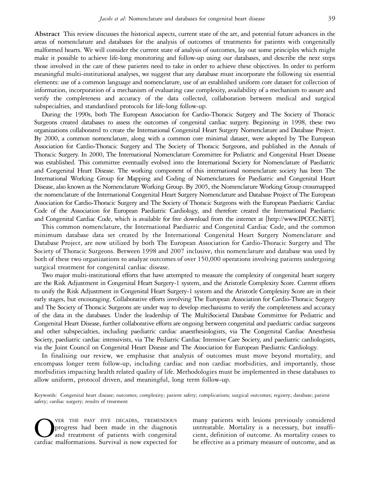Abstract This review discusses the historical aspects, current state of the art, and potential future advances in the areas of nomenclature and databases for the analysis of outcomes of treatments for patients with congenitally malformed hearts. We will consider the current state of analysis of outcomes, lay out some principles which might make it possible to achieve life-long monitoring and follow-up using our databases, and describe the next steps those involved in the care of these patients need to take in order to achieve these objectives. In order to perform meaningful multi-institutional analyses, we suggest that any database must incorporate the following six essential elements: use of a common language and nomenclature, use of an established uniform core dataset for collection of information, incorporation of a mechanism of evaluating case complexity, availability of a mechanism to assure and verify the completeness and accuracy of the data collected, collaboration between medical and surgical subspecialties, and standardised protocols for life-long follow-up.

During the 1990s, both The European Association for Cardio-Thoracic Surgery and The Society of Thoracic Surgeons created databases to assess the outcomes of congenital cardiac surgery. Beginning in 1998, these two organizations collaborated to create the International Congenital Heart Surgery Nomenclature and Database Project. By 2000, a common nomenclature, along with a common core minimal dataset, were adopted by The European Association for Cardio-Thoracic Surgery and The Society of Thoracic Surgeons, and published in the Annals of Thoracic Surgery. In 2000, The International Nomenclature Committee for Pediatric and Congenital Heart Disease was established. This committee eventually evolved into the International Society for Nomenclature of Paediatric and Congenital Heart Disease. The working component of this international nomenclature society has been The International Working Group for Mapping and Coding of Nomenclatures for Paediatric and Congenital Heart Disease, also known as the Nomenclature Working Group. By 2005, the Nomenclature Working Group crossmapped the nomenclature of the International Congenital Heart Surgery Nomenclature and Database Project of The European Association for Cardio-Thoracic Surgery and The Society of Thoracic Surgeons with the European Paediatric Cardiac Code of the Association for European Paediatric Cardiology, and therefore created the International Paediatric and Congenital Cardiac Code, which is available for free download from the internet at [http://www.IPCCC.NET].

This common nomenclature, the International Paediatric and Congenital Cardiac Code, and the common minimum database data set created by the International Congenital Heart Surgery Nomenclature and Database Project, are now utilized by both The European Association for Cardio-Thoracic Surgery and The Society of Thoracic Surgeons. Between 1998 and 2007 inclusive, this nomenclature and database was used by both of these two organizations to analyze outcomes of over 150,000 operations involving patients undergoing surgical treatment for congenital cardiac disease.

Two major multi-institutional efforts that have attempted to measure the complexity of congenital heart surgery are the Risk Adjustment in Congenital Heart Surgery-1 system, and the Aristotle Complexity Score. Current efforts to unify the Risk Adjustment in Congenital Heart Surgery-1 system and the Aristotle Complexity Score are in their early stages, but encouraging. Collaborative efforts involving The European Association for Cardio-Thoracic Surgery and The Society of Thoracic Surgeons are under way to develop mechanisms to verify the completeness and accuracy of the data in the databases. Under the leadership of The MultiSocietal Database Committee for Pediatric and Congenital Heart Disease, further collaborative efforts are ongoing between congenital and paediatric cardiac surgeons and other subspecialties, including paediatric cardiac anaesthesiologists, via The Congenital Cardiac Anesthesia Society, paediatric cardiac intensivists, via The Pediatric Cardiac Intensive Care Society, and paediatric cardiologists, via the Joint Council on Congenital Heart Disease and The Association for European Paediatric Cardiology.

In finalising our review, we emphasise that analysis of outcomes must move beyond mortality, and encompass longer term follow-up, including cardiac and non cardiac morbidities, and importantly, those morbidities impacting health related quality of life. Methodologies must be implemented in these databases to allow uniform, protocol driven, and meaningful, long term follow-up.

Keywords: Congenital heart disease; outcomes; complexity; patient safety; complications; surgical outcomes; registry; database; patient safety; cardiac surgery; results of treatment

OVER THE PAST FIVE DECADES, TREMENDOUS<br>progress had been made in the diagnosis<br>cardiac malformations. Survival is now expected for progress had been made in the diagnosis and treatment of patients with congenital cardiac malformations. Survival is now expected for

many patients with lesions previously considered untreatable. Mortality is a necessary, but insufficient, definition of outcome. As mortality ceases to be effective as a primary measure of outcome, and as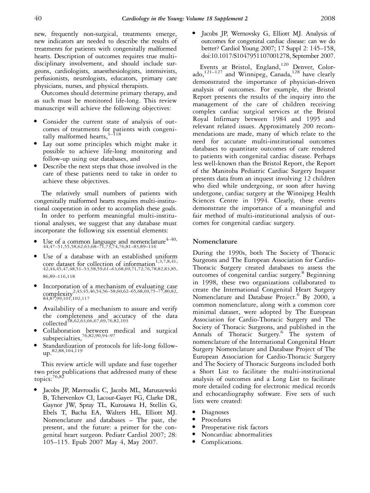new, frequently non-surgical, treatments emerge, new indicators are needed to describe the results of treatments for patients with congenitally malformed hearts. Description of outcomes requires true multidisciplinary involvement, and should include surgeons, cardiologists, anaesthesiologists, intensivists, perfusionists, neurologists, educators, primary care physicians, nurses, and physical therapists.

Outcomes should determine primary therapy, and as such must be monitored life-long. This review manuscript will achieve the following objectives:

- <sup>&</sup>gt; Consider the current state of analysis of outcomes of treatments for patients with congenitally malformed hearts, 1-118
- Lay out some principles which might make it possible to achieve life-long monitoring and follow-up using our databases, and
- Describe the next steps that those involved in the care of these patients need to take in order to achieve these objectives.

The relatively small numbers of patients with congenitally malformed hearts requires multi-institutional cooperation in order to accomplish these goals.

In order to perform meaningful multi-institutional analyses, we suggest that any database must incorporate the following six essential elements:

- Use of a common language and nomenclature<sup>4–40,</sup>  $44,47-51,55,58,62,63,68-71,73,74,76,81-83,89-116$
- Use of a database with an established uniform core dataset for collection of information<sup>1,3,7,8,41</sup>, 42,44,45,47,48,51–53,58,59,61–63,68,69,71,72,76,78,82,83,85, 86,89–116,118
- <sup>&</sup>gt; Incorporation of a mechanism of evaluating case complexity<sup>2,43,45,46,54,56–58,60,62–65,68,69,75–77,80,82,</sup> 84,87,99,101,102,117
- Availability of a mechanism to assure and verify the completeness and accuracy of the data collected58,62,63,66,67,69,76,82,103
- <sup>&</sup>gt; Collaboration between medical and surgical subspecialties,76,82,90,94–97
- Standardization of protocols for life-long followup.<sup>82,88,104,119</sup>

This review article will update and fuse together two prior publications that addressed many of these topics:<sup>76,82</sup>

Jacobs JP, Mavroudis C, Jacobs ML, Maruszewski B, Tchervenkov CI, Lacour-Gayet FG, Clarke DR, Gaynor JW, Spray TL, Kurosawa H, Stellin G, Ebels T, Bacha EA, Walters HL, Elliott MJ. Nomenclature and databases – The past, the present, and the future: a primer for the congenital heart surgeon. Pediatr Cardiol 2007; 28: 105–115. Epub 2007 May 4, May 2007.

<sup>&</sup>gt; Jacobs JP, Wernovsky G, Elliott MJ. Analysis of outcomes for congenital cardiac disease: can we do better? Cardiol Young 2007; 17 Suppl 2: 145–158, doi:10.1017/S1047951107001278, September 2007.

Events at Bristol, England,<sup>120</sup> Denver, Colorado, $121-127$  and Winnipeg, Canada, $128$  have clearly demonstrated the importance of physician-driven analysis of outcomes. For example, the Bristol Report presents the results of the inquiry into the management of the care of children receiving complex cardiac surgical services at the Bristol Royal Infirmary between 1984 and 1995 and relevant related issues. Approximately 200 recommendations are made, many of which relate to the need for accurate multi-institutional outcomes databases to quantitate outcomes of care rendered to patients with congenital cardiac disease. Perhaps less well-known than the Bristol Report, the Report of the Manitoba Pediatric Cardiac Surgery Inquest presents data from an inquest involving 12 children who died while undergoing, or soon after having undergone, cardiac surgery at the Winnipeg Health Sciences Centre in 1994. Clearly, these events demonstrate the importance of a meaningful and fair method of multi-institutional analysis of outcomes for congenital cardiac surgery.

### Nomenclature

During the 1990s, both The Society of Thoracic Surgeons and The European Association for Cardio-Thoracic Surgery created databases to assess the outcomes of congenital cardiac surgery.<sup>8</sup> Beginning in 1998, these two organizations collaborated to create the International Congenital Heart Surgery Nomenclature and Database Project.<sup>6</sup> By 2000, a common nomenclature, along with a common core minimal dataset, were adopted by The European Association for Cardio-Thoracic Surgery and The Society of Thoracic Surgeons, and published in the Annals of Thoracic Surgery.<sup>6</sup> The system of nomenclature of the International Congenital Heart Surgery Nomenclature and Database Project of The European Association for Cardio-Thoracic Surgery and The Society of Thoracic Surgeons included both a Short List to facilitate the multi-institutional analysis of outcomes and a Long List to facilitate more detailed coding for electronic medical records and echocardiography software. Five sets of such lists were created:

- <sup>&</sup>gt; Diagnoses
- **Procedures**
- Preoperative risk factors
- <sup>&</sup>gt; Noncardiac abnormalities
- Complications.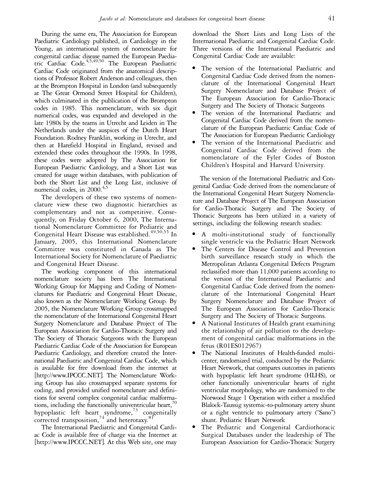During the same era, The Association for European Paediatric Cardiology published, in Cardiology in the Young, an international system of nomenclature for congenital cardiac disease named the European Paediatric Cardiac Code.<sup>4,5,49,50</sup> The European Paediatric Cardiac Code originated from the anatomical descriptions of Professor Robert Anderson and colleagues, then at the Brompton Hospital in London (and subsequently at The Great Ormond Street Hospital for Children), which culminated in the publication of the Brompton codes in 1985. This nomenclature, with six digit numerical codes, was expanded and developed in the late 1980s by the teams in Utrecht and Leiden in The Netherlands under the auspices of the Dutch Heart Foundation. Rodney Franklin, working in Utrecht, and then at Harefield Hospital in England, revised and extended these codes throughout the 1990s. In 1998, these codes were adopted by The Association for European Paediatric Cardiology, and a Short List was created for usage within databases, with publication of both the Short List and the Long List, inclusive of numerical codes, in  $2000^{4,5}$ 

The developers of these two systems of nomenclature view these two diagnostic hierarchies as complementary and not as competitive. Consequently, on Friday October 6, 2000, The International Nomenclature Committee for Pediatric and Congenital Heart Disease was established.<sup>49,50,55</sup> In January, 2005, this International Nomenclature Committee was constituted in Canada as The International Society for Nomenclature of Paediatric and Congenital Heart Disease.

The working component of this international nomenclature society has been The International Working Group for Mapping and Coding of Nomenclatures for Paediatric and Congenital Heart Disease, also known as the Nomenclature Working Group. By 2005, the Nomenclature Working Group crossmapped the nomenclature of the International Congenital Heart Surgery Nomenclature and Database Project of The European Association for Cardio-Thoracic Surgery and The Society of Thoracic Surgeons with the European Paediatric Cardiac Code of the Association for European Paediatric Cardiology, and therefore created the International Paediatric and Congenital Cardiac Code, which is available for free download from the internet at [http://www.IPCCC.NET]. The Nomenclature Working Group has also crossmapped separate systems for coding, and provided unified nomenclature and definitions for several complex congenital cardiac malformations, including the functionally univentricular heart,70 hypoplastic left heart syndrome,<sup>73</sup> congenitally corrected transposition,<sup>74</sup> and heterotaxy.<sup>81</sup>

The International Paediatric and Congenital Cardiac Code is available free of charge via the Internet at [http://www.IPCCC.NET]. At this Web site, one may download the Short Lists and Long Lists of the International Paediatric and Congenital Cardiac Code. Three versions of the International Paediatric and Congenital Cardiac Code are available:

- The version of the International Paediatric and Congenital Cardiac Code derived from the nomenclature of the International Congenital Heart Surgery Nomenclature and Database Project of The European Association for Cardio-Thoracic Surgery and The Society of Thoracic Surgeons
- The version of the International Paediatric and Congenital Cardiac Code derived from the nomenclature of the European Paediatric Cardiac Code of The Association for European Paediatric Cardiology
- The version of the International Paediatric and Congenital Cardiac Code derived from the nomenclature of the Fyler Codes of Boston Children's Hospital and Harvard University.

The version of the International Paediatric and Congenital Cardiac Code derived from the nomenclature of the International Congenital Heart Surgery Nomenclature and Database Project of The European Association for Cardio-Thoracic Surgery and The Society of Thoracic Surgeons has been utilized in a variety of settings, including the following research studies:

- <sup>&</sup>gt; A multi-institutional study of functionally single ventricle via the Pediatric Heart Network
- The Centers for Disease Control and Prevention birth surveillance research study in which the Metropolitan Atlanta Congenital Defects Program reclassified more than 11,000 patients according to the version of the International Paediatric and Congenital Cardiac Code derived from the nomenclature of the International Congenital Heart Surgery Nomenclature and Database Project of The European Association for Cardio-Thoracic Surgery and The Society of Thoracic Surgeons.
- A National Institutes of Health grant examining the relationship of air pollution to the development of congenital cardiac malformations in the fetus (R01ES012967)
- The National Institutes of Health-funded multicenter, randomized trial, conducted by the Pediatric Heart Network, that compares outcomes in patients with hypoplastic left heart syndrome (HLHS), or other functionally univentricular hearts of right ventricular morphology, who are randomized to the Norwood Stage 1 Operation with either a modified Blalock-Taussig systemic-to-pulmonary artery shunt or a right ventricle to pulmonary artery (''Sano'') shunt. Pediatric Heart Network
- The Pediatric and Congenital Cardiothoracic Surgical Databases under the leadership of The European Association for Cardio-Thoracic Surgery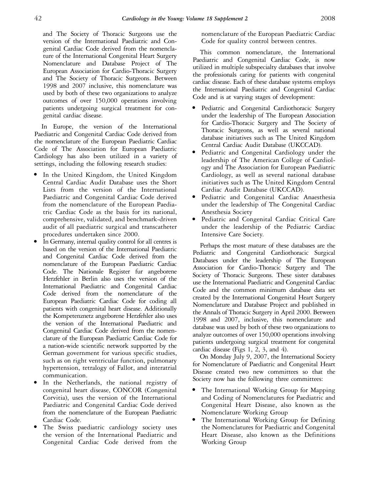and The Society of Thoracic Surgeons use the version of the International Paediatric and Congenital Cardiac Code derived from the nomenclature of the International Congenital Heart Surgery Nomenclature and Database Project of The European Association for Cardio-Thoracic Surgery and The Society of Thoracic Surgeons. Between 1998 and 2007 inclusive, this nomenclature was used by both of these two organizations to analyze outcomes of over 150,000 operations involving patients undergoing surgical treatment for congenital cardiac disease.

In Europe, the version of the International Paediatric and Congenital Cardiac Code derived from the nomenclature of the European Paediatric Cardiac Code of The Association for European Paediatric Cardiology has also been utilized in a variety of settings, including the following research studies:

- <sup>&</sup>gt; In the United Kingdom, the United Kingdom Central Cardiac Audit Database uses the Short Lists from the version of the International Paediatric and Congenital Cardiac Code derived from the nomenclature of the European Paediatric Cardiac Code as the basis for its national, comprehensive, validated, and benchmark-driven audit of all paediatric surgical and transcatheter procedures undertaken since 2000.
- In Germany, internal quality control for all centres is based on the version of the International Paediatric and Congenital Cardiac Code derived from the nomenclature of the European Paediatric Cardiac Code. The Nationale Register fur angeborene Herzfehler in Berlin also uses the version of the International Paediatric and Congenital Cardiac Code derived from the nomenclature of the European Paediatric Cardiac Code for coding all patients with congenital heart disease. Additionally the Kompetenznetz angeborene Herzfehler also uses the version of the International Paediatric and Congenital Cardiac Code derived from the nomenclature of the European Paediatric Cardiac Code for a nation-wide scientific network supported by the German government for various specific studies, such as on right ventricular function, pulmonary hypertension, tetralogy of Fallot, and interatrial communication.
- In the Netherlands, the national registry of congenital heart disease, CONCOR (Congenital Corvitia), uses the version of the International Paediatric and Congenital Cardiac Code derived from the nomenclature of the European Paediatric Cardiac Code.
- The Swiss paediatric cardiology society uses the version of the International Paediatric and Congenital Cardiac Code derived from the

nomenclature of the European Paediatric Cardiac Code for quality control between centres.

This common nomenclature, the International Paediatric and Congenital Cardiac Code, is now utilized in multiple subspecialty databases that involve the professionals caring for patients with congenital cardiac disease. Each of these database systems employs the International Paediatric and Congenital Cardiac Code and is at varying stages of development:

- Pediatric and Congenital Cardiothoracic Surgery under the leadership of The European Association for Cardio-Thoracic Surgery and The Society of Thoracic Surgeons, as well as several national database initiatives such as The United Kingdom Central Cardiac Audit Database (UKCCAD).
- Pediatric and Congenital Cardiology under the leadership of The American College of Cardiology and The Association for European Paediatric Cardiology, as well as several national database initiatives such as The United Kingdom Central Cardiac Audit Database (UKCCAD).
- Pediatric and Congenital Cardiac Anaesthesia under the leadership of The Congenital Cardiac Anesthesia Society
- Pediatric and Congenital Cardiac Critical Care under the leadership of the Pediatric Cardiac Intensive Care Society.

Perhaps the most mature of these databases are the Pediatric and Congenital Cardiothoracic Surgical Databases under the leadership of The European Association for Cardio-Thoracic Surgery and The Society of Thoracic Surgeons. These sister databases use the International Paediatric and Congenital Cardiac Code and the common minimum database data set created by the International Congenital Heart Surgery Nomenclature and Database Project and published in the Annals of Thoracic Surgery in April 2000. Between 1998 and 2007, inclusive, this nomenclature and database was used by both of these two organizations to analyze outcomes of over 150,000 operations involving patients undergoing surgical treatment for congenital cardiac disease (Figs 1, 2, 3, and 4).

On Monday July 9, 2007, the International Society for Nomenclature of Paediatric and Congenital Heart Disease created two new committees so that the Society now has the following three committees:

- The International Working Group for Mapping and Coding of Nomenclatures for Paediatric and Congenital Heart Disease, also known as the Nomenclature Working Group
- The International Working Group for Defining the Nomenclatures for Paediatric and Congenital Heart Disease, also known as the Definitions Working Group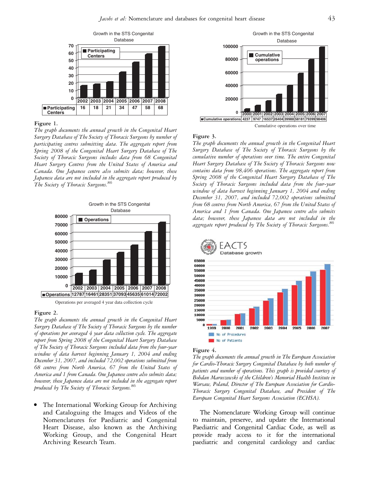

#### Figure 1.

The graph documents the annual growth in the Congenital Heart Surgery Database of The Society of Thoracic Surgeons by number of participating centres submitting data. The aggregate report from Spring 2008 of the Congenital Heart Surgery Database of The Society of Thoracic Surgeons includes data from 68 Congenital Heart Surgery Centres from the United States of America and Canada. One Japanese centre also submits data; however, these Japanese data are not included in the aggregate report produced by The Society of Thoracic Surgeons.<sup>86</sup>



Operations per averaged 4 year data collection cycle

#### Figure 2.

The graph documents the annual growth in the Congenital Heart Surgery Database of The Society of Thoracic Surgeons by the number of operations per averaged 4 year data collection cycle. The aggregate report from Spring 2008 of the Congenital Heart Surgery Database of The Society of Thoracic Surgeons included data from the four-year window of data harvest beginning January 1, 2004 and ending December 31, 2007, and included 72,002 operations submitted from 68 centres from North America, 67 from the United States of America and 1 from Canada. One Japanese centre also submits data; however, these Japanese data are not included in the aggregate report produced by The Society of Thoracic Surgeons.<sup>86</sup>

The International Working Group for Archiving and Cataloguing the Images and Videos of the Nomenclatures for Paediatric and Congenital Heart Disease, also known as the Archiving Working Group, and the Congenital Heart Archiving Research Team.



#### Figure 3.

The graph documents the annual growth in the Congenital Heart Surgery Database of The Society of Thoracic Surgeons by the cumulative number of operations over time. The entire Congenital Heart Surgery Database of The Society of Thoracic Surgeons now contains data from 98,406 operations. The aggregate report from Spring 2008 of the Congenital Heart Surgery Database of The Society of Thoracic Surgeons included data from the four-year window of data harvest beginning January 1, 2004 and ending December 31, 2007, and included 72,002 operations submitted from 68 centres from North America, 67 from the United States of America and 1 from Canada. One Japanese centre also submits data; however, these Japanese data are not included in the aggregate report produced by The Society of Thoracic Surgeons.<sup>86</sup>



#### Figure 4.

The graph documents the annual growth in The European Association for Cardio-Thoracic Surgery Congenital Database by both number of patients and number of operations. This graph is provided courtesy of Bohdan Maruszewski of the Children's Memorial Health Institute in Warsaw, Poland, Director of The European Association for Cardio-Thoracic Surgery Congenital Database, and President of The European Congenital Heart Surgeons Association (ECHSA).

The Nomenclature Working Group will continue to maintain, preserve, and update the International Paediatric and Congenital Cardiac Code, as well as provide ready access to it for the international paediatric and congenital cardiology and cardiac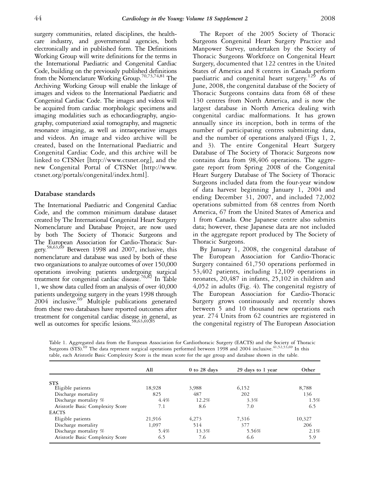surgery communities, related disciplines, the healthcare industry, and governmental agencies, both electronically and in published form. The Definitions Working Group will write definitions for the terms in the International Paediatric and Congenital Cardiac Code, building on the previously published definitions from the Nomenclature Working Group.<sup>70,73,74,81</sup> The Archiving Working Group will enable the linkage of images and videos to the International Paediatric and Congenital Cardiac Code. The images and videos will be acquired from cardiac morphologic specimens and imaging modalities such as echocardiography, angiography, computerized axial tomography, and magnetic resonance imaging, as well as intraoperative images and videos. An image and video archive will be created, based on the International Paediatric and Congenital Cardiac Code, and this archive will be linked to CTSNet [http://www.ctsnet.org], and the new Congenital Portal of CTSNet [http://www. ctsnet.org/portals/congenital/index.html].

### Database standards

The International Paediatric and Congenital Cardiac Code, and the common minimum database dataset created by The International Congenital Heart Surgery Nomenclature and Database Project, are now used by both The Society of Thoracic Surgeons and The European Association for Cardio-Thoracic Surgery.<sup>58,63,69</sup> Between 1998 and 2007, inclusive, this nomenclature and database was used by both of these two organizations to analyze outcomes of over 150,000 operations involving patients undergoing surgical treatment for congenital cardiac disease.<sup>76,82</sup> In Table 1, we show data culled from an analysis of over 40,000 patients undergoing surgery in the years 1998 through  $2004$  inclusive.<sup>69</sup> Multiple publications generated from these two databases have reported outcomes after treatment for congenital cardiac disease in general, as well as outcomes for specific lesions.<sup>58,63,69</sup>,

The Report of the 2005 Society of Thoracic Surgeons Congenital Heart Surgery Practice and Manpower Survey, undertaken by the Society of Thoracic Surgeons Workforce on Congenital Heart Surgery, documented that 122 centres in the United States of America and 8 centres in Canada perform paediatric and congenital heart surgery.<sup>129</sup> As of June, 2008, the congenital database of the Society of Thoracic Surgeons contains data from 68 of these 130 centres from North America, and is now the largest database in North America dealing with congenital cardiac malformations. It has grown annually since its inception, both in terms of the number of participating centres submitting data, and the number of operations analyzed (Figs 1, 2, and 3). The entire Congenital Heart Surgery Database of The Society of Thoracic Surgeons now contains data from 98,406 operations. The aggregate report from Spring 2008 of the Congenital Heart Surgery Database of The Society of Thoracic Surgeons included data from the four-year window of data harvest beginning January 1, 2004 and ending December 31, 2007, and included 72,002 operations submitted from 68 centres from North America, 67 from the United States of America and 1 from Canada. One Japanese centre also submits data; however, these Japanese data are not included in the aggregate report produced by The Society of Thoracic Surgeons.

By January 1, 2008, the congenital database of The European Association for Cardio-Thoracic Surgery contained 61,750 operations performed in 53,402 patients, including 12,109 operations in neonates, 20,487 in infants, 25,102 in children and 4,052 in adults (Fig. 4). The congenital registry of The European Association for Cardio-Thoracic Surgery grows continuously and recently shows between 5 and 10 thousand new operations each year. 274 Units from 62 countries are registered in the congenital registry of The European Association

Table 1. Aggregated data from the European Association for Cardiothoracic Surgery (EACTS) and the Society of Thoracic Surgeons (STS).<sup>69</sup> The data represent surgical operations performed between 1998 and 2004 inclusive.<sup>41,52,53,69</sup> In this table, each Aristotle Basic Complexity Score is the mean score for the age group and database shown in the table.

|                                  | All    | $0$ to 28 days | 29 days to 1 year | Other   |
|----------------------------------|--------|----------------|-------------------|---------|
|                                  |        |                |                   |         |
| <b>STS</b>                       |        |                |                   |         |
| Eligible patients                | 18,928 | 3.988          | 6,152             | 8,788   |
| Discharge mortality              | 825    | 487            | 202               | 136     |
| Discharge mortality %            | 4.4%   | 12.2%          | $3.3\%$           | $1.5\%$ |
| Aristotle Basic Complexity Score | 7.1    | 8.6            | 7.0               | 6.5     |
| <b>EACTS</b>                     |        |                |                   |         |
| Eligible patients                | 21,916 | 4,273          | 7,316             | 10,327  |
| Discharge mortality              | 1,097  | 514            | 377               | 206     |
| Discharge mortality %            | 5.4%   | 13.3%          | 5.56%             | 2.1%    |
| Aristotle Basic Complexity Score | 6.5    | 7.6            | 6.6               | 5.9     |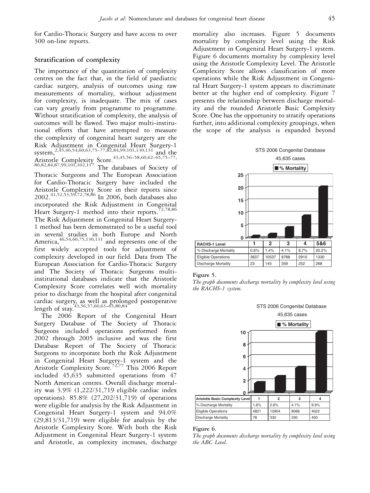for Cardio-Thoracic Surgery and have access to over 300 on-line reports.

# Stratification of complexity

The importance of the quantitation of complexity centres on the fact that, in the field of paediatric cardiac surgery, analysis of outcomes using raw measurements of mortality, without adjustment for complexity, is inadequate. The mix of cases can vary greatly from programme to programme. Without stratification of complexity, the analysis of outcomes will be flawed. Two major multi-institutional efforts that have attempted to measure the complexity of congenital heart surgery are the Risk Adjustment in Congenital Heart Surgery-1 system,<sup>2,45,46,54,60,63,75–77,82</sup>,84,99,101,130,131 and the Aristotle Complexity Score.<sup>43,45,56–58,60,62–65,75–77,</sup> 80,82,84,87,99,101,102,117 The databases of Society of Thoracic Surgeons and The European Association for Cardio-Thoracic Surgery have included the Aristotle Complexity Score in their reports since 2002.<sup>41,52,53,59,72,78,86</sup> In 2006, both databases also incorporated the Risk Adjustment in Congenital Heart Surgery-1 method into their reports.<sup>72,78,86</sup> The Risk Adjustment in Congenital Heart Surgery-1 method has been demonstrated to be a useful tool in several studies in both Europe and North America,  $46,54,60,75,130,131$  and represents one of the first widely accepted tools for adjustment of complexity developed in our field. Data from The European Association for Cardio-Thoracic Surgery and The Society of Thoracic Surgeons multiinstitutional databases indicate that the Aristotle Complexity Score correlates well with mortality prior to discharge from the hospital after congenital cardiac surgery, as well as prolonged postoperative length of stay.<sup>43,56,57,60,63–65,80,84</sup>

The 2006 Report of the Congenital Heart Surgery Database of The Society of Thoracic Surgeons included operations performed from 2002 through 2005 inclusive and was the first Database Report of The Society of Thoracic Surgeons to incorporate both the Risk Adjustment in Congenital Heart Surgery-1 system and the Aristotle Complexity Score.72,77 This 2006 Report included 45,635 submitted operations from 47 North American centres. Overall discharge mortality was 3.9% (1,222/31,719 eligible cardiac index operations). 85.8% (27,202/31,719) of operations were eligible for analysis by the Risk Adjustment in Congenital Heart Surgery-1 system and 94.0% (29,813/31,719) were eligible for analysis by the Aristotle Complexity Score. With both the Risk Adjustment in Congenital Heart Surgery-1 system and Aristotle, as complexity increases, discharge

mortality also increases. Figure 5 documents mortality by complexity level using the Risk Adjustment in Congenital Heart Surgery-1 system. Figure 6 documents mortality by complexity level using the Aristotle Complexity Level. The Aristotle Complexity Score allows classification of more operations while the Risk Adjustment in Congenital Heart Surgery-1 system appears to discriminate better at the higher end of complexity. Figure 7 presents the relationship between discharge mortality and the rounded Aristotle Basic Complexity Score. One has the opportunity to stratify operations further, into additional complexity groupings, when the scope of the analysis is expanded beyond



### Figure 5.

The graph documents discharge mortality by complexity level using the RACHS-1 system.



### Figure 6.

The graph documents discharge mortality by complexity level using the ABC Level.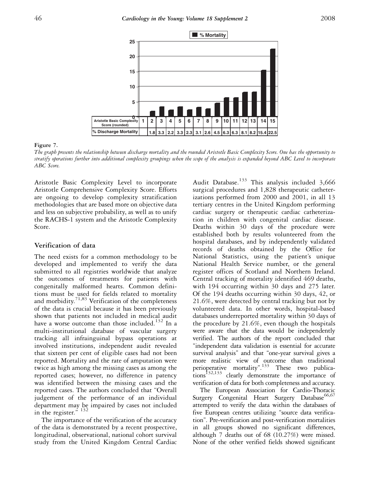

Figure 7.

The graph presents the relationship between discharge mortality and the rounded Aristotle Basic Complexity Score. One has the opportunity to stratify operations further into additional complexity groupings when the scope of the analysis is expanded beyond ABC Level to incorporate ABC Score.

Aristotle Basic Complexity Level to incorporate Aristotle Comprehensive Complexity Score. Efforts are ongoing to develop complexity stratification methodologies that are based more on objective data and less on subjective probability, as well as to unify the RACHS-1 system and the Aristotle Complexity Score.

### Verification of data

The need exists for a common methodology to be developed and implemented to verify the data submitted to all registries worldwide that analyze the outcomes of treatments for patients with congenitally malformed hearts. Common definitions must be used for fields related to mortality and morbidity.<sup>71,83</sup> Verification of the completeness of the data is crucial because it has been previously shown that patients not included in medical audit have a worse outcome than those included.<sup>132</sup> In a multi-institutional database of vascular surgery tracking all infrainguinal bypass operations at involved institutions, independent audit revealed that sixteen per cent of eligible cases had not been reported. Mortality and the rate of amputation were twice as high among the missing cases as among the reported cases; however, no difference in patency was identified between the missing cases and the reported cases. The authors concluded that ''Overall judgement of the performance of an individual department may be impaired by cases not included in the register."  $132$ 

The importance of the verification of the accuracy of the data is demonstrated by a recent prospective, longitudinal, observational, national cohort survival study from the United Kingdom Central Cardiac Audit Database.<sup>133</sup> This analysis included 3,666 surgical procedures and 1,828 therapeutic catheterizations performed from 2000 and 2001, in all 13 tertiary centres in the United Kingdom performing cardiac surgery or therapeutic cardiac catheterization in children with congenital cardiac disease. Deaths within 30 days of the procedure were established both by results volunteered from the hospital databases, and by independently validated records of deaths obtained by the Office for National Statistics, using the patient's unique National Health Service number, or the general register offices of Scotland and Northern Ireland. Central tracking of mortality identified 469 deaths, with 194 occurring within 30 days and 275 later. Of the 194 deaths occurring within 30 days, 42, or 21.6%, were detected by central tracking but not by volunteered data. In other words, hospital-based databases underreported mortality within 30 days of the procedure by 21.6%, even though the hospitals were aware that the data would be independently verified. The authors of the report concluded that ''independent data validation is essential for accurate survival analysis'' and that ''one-year survival gives a more realistic view of outcome than traditional perioperative mortality".<sup>133</sup> These two publications<sup>132,133</sup> clearly demonstrate the importance of verification of data for both completeness and accuracy.

The European Association for Cardio-Thoracic Surgery Congenital Heart Surgery Database<sup>66,67</sup> attempted to verify the data within the databases of five European centres utilizing ''source data verification''. Pre-verification and post-verification mortalities in all groups showed no significant differences, although 7 deaths out of 68 (10.27%) were missed. None of the other verified fields showed significant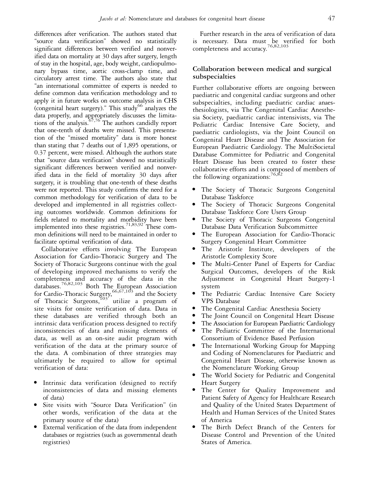differences after verification. The authors stated that ''source data verification'' showed no statistically significant differences between verified and nonverified data on mortality at 30 days after surgery, length of stay in the hospital, age, body weight, cardiopulmonary bypass time, aortic cross-clamp time, and circulatory arrest time. The authors also state that ''an international committee of experts is needed to define common data verification methodology and to apply it in future works on outcome analysis in CHS (congenital heart surgery)." This study<sup>66</sup> analyzes the data properly, and appropriately discusses the limitations of the analysis.<sup> $67,76$ </sup> The authors candidly report that one-tenth of deaths were missed. This presentation of the ''missed mortality'' data is more honest than stating that 7 deaths out of 1,895 operations, or 0.37 percent, were missed. Although the authors state that ''source data verification'' showed no statistically significant differences between verified and nonverified data in the field of mortality 30 days after surgery, it is troubling that one-tenth of these deaths were not reported. This study confirms the need for a common methodology for verification of data to be developed and implemented in all registries collecting outcomes worldwide. Common definitions for fields related to mortality and morbidity have been implemented into these registries.<sup>71,83,92</sup> These common definitions will need to be maintained in order to facilitate optimal verification of data.

Collaborative efforts involving The European Association for Cardio-Thoracic Surgery and The Society of Thoracic Surgeons continue with the goal of developing improved mechanisms to verify the completeness and accuracy of the data in the databases.76,82,103 Both The European Association for Cardio-Thoracic Surgery,<sup>66,67,103</sup> and the Society of Thoracic Surgeons, utilize a program of site visits for onsite verification of data. Data in these databases are verified through both an intrinsic data verification process designed to rectify inconsistencies of data and missing elements of data, as well as an on-site audit program with verification of the data at the primary source of the data. A combination of three strategies may ultimately be required to allow for optimal verification of data:

- <sup>&</sup>gt; Intrinsic data verification (designed to rectify inconsistencies of data and missing elements of data)
- Site visits with "Source Data Verification" (in other words, verification of the data at the primary source of the data)
- External verification of the data from independent databases or registries (such as governmental death registries)

Further research in the area of verification of data is necessary. Data must be verified for both completeness and accuracy.<sup>76,82,103</sup>

# Collaboration between medical and surgical subspecialties

Further collaborative efforts are ongoing between paediatric and congenital cardiac surgeons and other subspecialties, including paediatric cardiac anaesthesiologists, via The Congenital Cardiac Anesthesia Society, paediatric cardiac intensivists, via The Pediatric Cardiac Intensive Care Society, and paediatric cardiologists, via the Joint Council on Congenital Heart Disease and The Association for European Paediatric Cardiology. The MultiSocietal Database Committee for Pediatric and Congenital Heart Disease has been created to foster these collaborative efforts and is composed of members of the following organizations:  $76,82$ 

- <sup>&</sup>gt; The Society of Thoracic Surgeons Congenital Database Taskforce
- The Society of Thoracic Surgeons Congenital Database Taskforce Core Users Group
- The Society of Thoracic Surgeons Congenital Database Data Verification Subcommittee
- The European Association for Cardio-Thoracic Surgery Congenital Heart Committee
- <sup>&</sup>gt; The Aristotle Institute, developers of the Aristotle Complexity Score
- The Multi-Center Panel of Experts for Cardiac Surgical Outcomes, developers of the Risk Adjustment in Congenital Heart Surgery-1 system
- <sup>&</sup>gt; The Pediatric Cardiac Intensive Care Society VPS Database
- The Congenital Cardiac Anesthesia Society
- <sup>&</sup>gt; The Joint Council on Congenital Heart Disease
- The Association for European Paediatric Cardiology
- The Pediatric Committee of the International Consortium of Evidence Based Perfusion
- The International Working Group for Mapping and Coding of Nomenclatures for Paediatric and Congenital Heart Disease, otherwise known as the Nomenclature Working Group
- The World Society for Pediatric and Congenital Heart Surgery
- The Center for Quality Improvement and Patient Safety of Agency for Healthcare Research and Quality of the United States Department of Health and Human Services of the United States of America
- <sup>&</sup>gt; The Birth Defect Branch of the Centers for Disease Control and Prevention of the United States of America.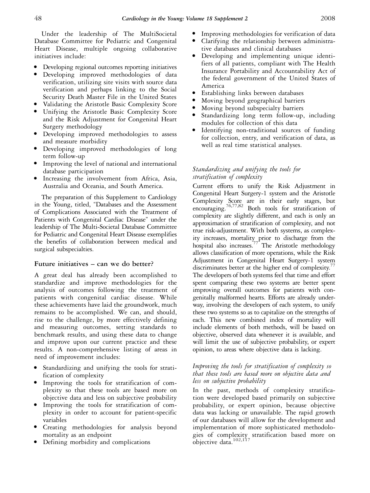Under the leadership of The MultiSocietal Database Committee for Pediatric and Congenital Heart Disease, multiple ongoing collaborative initiatives include:

- Developing regional outcomes reporting initiatives
- <sup>&</sup>gt; Developing improved methodologies of data verification, utilizing site visits with source data verification and perhaps linking to the Social Security Death Master File in the United States
- Validating the Aristotle Basic Complexity Score
- <sup>&</sup>gt; Unifying the Aristotle Basic Complexity Score and the Risk Adjustment for Congenital Heart Surgery methodology
- <sup>&</sup>gt; Developing improved methodologies to assess and measure morbidity
- <sup>&</sup>gt; Developing improved methodologies of long term follow-up
- <sup>&</sup>gt; Improving the level of national and international database participation
- Increasing the involvement from Africa, Asia, Australia and Oceania, and South America.

The preparation of this Supplement to Cardiology in the Young, titled, ''Databases and the Assessment of Complications Associated with the Treatment of Patients with Congenital Cardiac Disease'' under the leadership of The Multi-Societal Database Committee for Pediatric and Congenital Heart Disease exemplifies the benefits of collaboration between medical and surgical subspecialties.

### Future initiatives – can we do better?

A great deal has already been accomplished to standardize and improve methodologies for the analysis of outcomes following the treatment of patients with congenital cardiac disease. While these achievements have laid the groundwork, much remains to be accomplished. We can, and should, rise to the challenge, by more effectively defining and measuring outcomes, setting standards to benchmark results, and using these data to change and improve upon our current practice and these results. A non-comprehensive listing of areas in need of improvement includes:

- Standardizing and unifying the tools for stratification of complexity
- <sup>&</sup>gt; Improving the tools for stratification of complexity so that these tools are based more on objective data and less on subjective probability
- Improving the tools for stratification of complexity in order to account for patient-specific variables
- <sup>&</sup>gt; Creating methodologies for analysis beyond mortality as an endpoint
- <sup>&</sup>gt; Defining morbidity and complications
- Improving methodologies for verification of data
- Clarifying the relationship between administrative databases and clinical databases
- <sup>&</sup>gt; Developing and implementing unique identifiers of all patients, compliant with The Health Insurance Portability and Accountability Act of the federal government of the United States of America
- <sup>&</sup>gt; Establishing links between databases
- <sup>&</sup>gt; Moving beyond geographical barriers
- Moving beyond subspecialty barriers
- Standardizing long term follow-up, including modules for collection of this data
- Identifying non-traditional sources of funding for collection, entry, and verification of data, as well as real time statistical analyses.

# Standardizing and unifying the tools for stratification of complexity

Current efforts to unify the Risk Adjustment in Congenital Heart Surgery-1 system and the Aristotle Complexity Score are in their early stages, but encouraging.<sup>76,77,82</sup> Both tools for stratification of complexity are slightly different, and each is only an approximation of stratification of complexity, and not true risk-adjustment. With both systems, as complexity increases, mortality prior to discharge from the hospital also increases.<sup>77</sup> The Aristotle methodology allows classification of more operations, while the Risk Adjustment in Congenital Heart Surgery-1 system discriminates better at the higher end of complexity.<sup>77</sup> The developers of both systems feel that time and effort spent comparing these two systems are better spent improving overall outcomes for patients with congenitally malformed hearts. Efforts are already underway, involving the developers of each system, to unify these two systems so as to capitalize on the strengths of each. This new combined index of mortality will include elements of both methods, will be based on objective, observed data whenever it is available, and will limit the use of subjective probability, or expert opinion, to areas where objective data is lacking.

# Improving the tools for stratification of complexity so that these tools are based more on objective data and less on subjective probability

In the past, methods of complexity stratification were developed based primarily on subjective probability, or expert opinion, because objective data was lacking or unavailable. The rapid growth of our databases will allow for the development and implementation of more sophisticated methodologies of complexity stratification based more on objective data.<sup>102,11</sup>7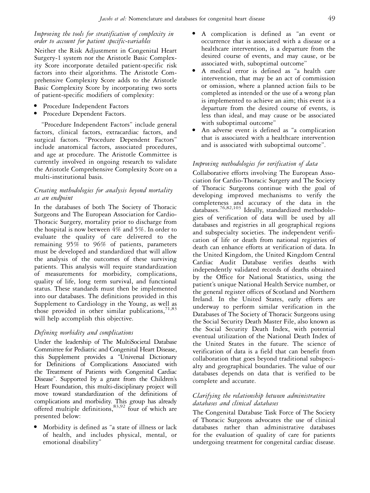# Improving the tools for stratification of complexity in order to account for patient specific-variables

Neither the Risk Adjustment in Congenital Heart Surgery-1 system nor the Aristotle Basic Complexity Score incorporate detailed patient-specific risk factors into their algorithms. The Aristotle Comprehensive Complexity Score adds to the Aristotle Basic Complexity Score by incorporating two sorts of patient-specific modifiers of complexity:

- Procedure Independent Factors
- Procedure Dependent Factors.

''Procedure Independent Factors'' include general factors, clinical factors, extracardiac factors, and surgical factors. ''Procedure Dependent Factors'' include anatomical factors, associated procedures, and age at procedure. The Aristotle Committee is currently involved in ongoing research to validate the Aristotle Comprehensive Complexity Score on a multi-institutional basis.

# Creating methodologies for analysis beyond mortality as an endpoint

In the databases of both The Society of Thoracic Surgeons and The European Association for Cardio-Thoracic Surgery, mortality prior to discharge from the hospital is now between 4% and 5%. In order to evaluate the quality of care delivered to the remaining 95% to 96% of patients, parameters must be developed and standardized that will allow the analysis of the outcomes of these surviving patients. This analysis will require standardization of measurements for morbidity, complications, quality of life, long term survival, and functional status. These standards must then be implemented into our databases. The definitions provided in this Supplement to Cardiology in the Young, as well as those provided in other similar publications,  $71,83$ will help accomplish this objective.

### Defining morbidity and complications

Under the leadership of The MultiSocietal Database Committee for Pediatric and Congenital Heart Disease, this Supplement provides a ''Universal Dictionary for Definitions of Complications Associated with the Treatment of Patients with Congenital Cardiac Disease''. Supported by a grant from the Children's Heart Foundation, this multi-disciplinary project will move toward standardization of the definitions of complications and morbidity. This group has already offered multiple definitions,<sup>83,92</sup> four of which are presented below:

<sup>&</sup>gt; Morbidity is defined as ''a state of illness or lack of health, and includes physical, mental, or emotional disability''

- <sup>&</sup>gt; A complication is defined as ''an event or occurrence that is associated with a disease or a healthcare intervention, is a departure from the desired course of events, and may cause, or be associated with, suboptimal outcome''
- <sup>&</sup>gt; A medical error is defined as ''a health care intervention, that may be an act of commission or omission, where a planned action fails to be completed as intended or the use of a wrong plan is implemented to achieve an aim; this event is a departure from the desired course of events, is less than ideal, and may cause or be associated with suboptimal outcome''
- An adverse event is defined as "a complication that is associated with a healthcare intervention and is associated with suboptimal outcome''.

# Improving methodologies for verification of data

Collaborative efforts involving The European Association for Cardio-Thoracic Surgery and The Society of Thoracic Surgeons continue with the goal of developing improved mechanisms to verify the completeness and accuracy of the data in the databases.76,82,103 Ideally, standardized methodologies of verification of data will be used by all databases and registries in all geographical regions and subspecialty societies. The independent verification of life or death from national registries of death can enhance efforts at verification of data. In the United Kingdom, the United Kingdom Central Cardiac Audit Database verifies deaths with independently validated records of deaths obtained by the Office for National Statistics, using the patient's unique National Health Service number, or the general register offices of Scotland and Northern Ireland. In the United States, early efforts are underway to perform similar verification in the Databases of The Society of Thoracic Surgeons using the Social Security Death Master File, also known as the Social Security Death Index, with potential eventual utilization of the National Death Index of the United States in the future. The science of verification of data is a field that can benefit from collaboration that goes beyond traditional subspecialty and geographical boundaries. The value of our databases depends on data that is verified to be complete and accurate.

# Clarifying the relationship between administrative databases and clinical databases

The Congenital Database Task Force of The Society of Thoracic Surgeons advocates the use of clinical databases rather than administrative databases for the evaluation of quality of care for patients undergoing treatment for congenital cardiac disease.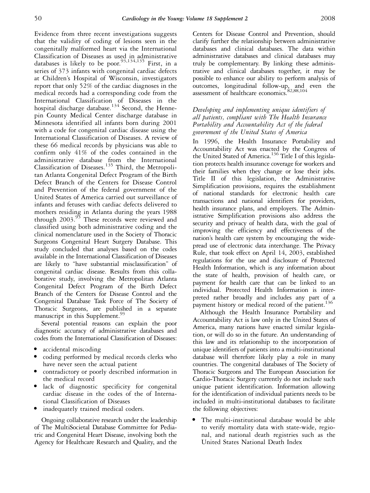Evidence from three recent investigations suggests that the validity of coding of lesions seen in the congenitally malformed heart via the International Classification of Diseases as used in administrative databases is likely to be poor.<sup>93,134,135</sup> First, in a series of 373 infants with congenital cardiac defects at Children's Hospital of Wisconsin, investigators report that only 52% of the cardiac diagnoses in the medical records had a corresponding code from the International Classification of Diseases in the hospital discharge database.<sup>134</sup> Second, the Hennepin County Medical Center discharge database in Minnesota identified all infants born during 2001 with a code for congenital cardiac disease using the International Classification of Diseases. A review of these 66 medical records by physicians was able to confirm only 41% of the codes contained in the administrative database from the International Classification of Diseases.<sup>135</sup> Third, the Metropolitan Atlanta Congenital Defect Program of the Birth Defect Branch of the Centers for Disease Control and Prevention of the federal government of the United States of America carried out surveillance of infants and fetuses with cardiac defects delivered to mothers residing in Atlanta during the years 1988 through  $2003$ .<sup>93</sup> These records were reviewed and classified using both administrative coding and the clinical nomenclature used in the Society of Thoracic Surgeons Congenital Heart Surgery Database. This study concluded that analyses based on the codes available in the International Classification of Diseases are likely to ''have substantial misclassification'' of congenital cardiac disease. Results from this collaborative study, involving the Metropolitan Atlanta Congenital Defect Program of the Birth Defect Branch of the Centers for Disease Control and the Congenital Database Task Force of The Society of Thoracic Surgeons, are published in a separate manuscript in this Supplement.<sup>93</sup>

Several potential reasons can explain the poor diagnostic accuracy of administrative databases and codes from the International Classification of Diseases:

- accidental miscoding
- coding performed by medical records clerks who have never seen the actual patient
- contradictory or poorly described information in the medical record
- lack of diagnostic specificity for congenital cardiac disease in the codes of the of International Classification of Diseases
- inadequately trained medical coders.

Ongoing collaborative research under the leadership of The MultiSocietal Database Committee for Pediatric and Congenital Heart Disease, involving both the Agency for Healthcare Research and Quality, and the Centers for Disease Control and Prevention, should clarify further the relationship between administrative databases and clinical databases. The data within administrative databases and clinical databases may truly be complementary. By linking these administrative and clinical databases together, it may be possible to enhance our ability to perform analysis of outcomes, longitudinal follow-up, and even the assessment of healthcare economics.<sup>82,88,104</sup>

# Developing and implementing unique identifiers of all patients, compliant with The Health Insurance Portability and Accountability Act of the federal government of the United States of America

In 1996, the Health Insurance Portability and Accountability Act was enacted by the Congress of the United Stated of America.<sup>136</sup> Title I of this legislation protects health insurance coverage for workers and their families when they change or lose their jobs. Title II of this legislation, the Administrative Simplification provisions, requires the establishment of national standards for electronic health care transactions and national identifiers for providers, health insurance plans, and employers. The Administrative Simplification provisions also address the security and privacy of health data, with the goal of improving the efficiency and effectiveness of the nation's health care system by encouraging the widepread use of electronic data interchange. The Privacy Rule, that took effect on April 14, 2003, established regulations for the use and disclosure of Protected Health Information, which is any information about the state of health, provision of health care, or payment for health care that can be linked to an individual. Protected Health Information is interpreted rather broadly and includes any part of a payment history or medical record of the patient.<sup>136</sup>

Although the Health Insurance Portability and Accountability Act is law only in the United States of America, many nations have enacted similar legislation, or will do so in the future. An understanding of this law and its relationship to the incorporation of unique identifiers of patients into a multi-institutional database will therefore likely play a role in many countries. The congenital databases of The Society of Thoracic Surgeons and The European Association for Cardio-Thoracic Surgery currently do not include such unique patient identification. Information allowing for the identification of individual patients needs to be included in multi-institutional databases to facilitate the following objectives:

The multi-institutional database would be able to verify mortality data with state-wide, regional, and national death registries such as the United States National Death Index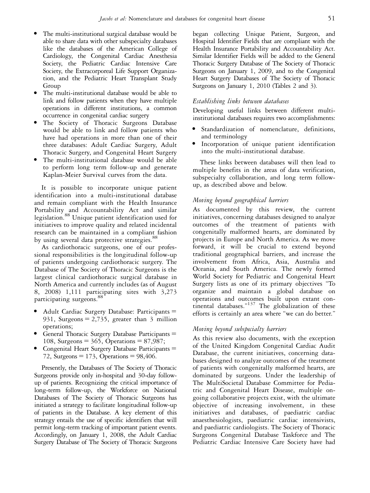- The multi-institutional surgical database would be able to share data with other subspecialty databases like the databases of the American College of Cardiology, the Congenital Cardiac Anesthesia Society, the Pediatric Cardiac Intensive Care Society, the Extracorporeal Life Support Organization, and the Pediatric Heart Transplant Study Group
- The multi-institutional database would be able to link and follow patients when they have multiple operations in different institutions, a common occurrence in congenital cardiac surgery
- The Society of Thoracic Surgeons Database would be able to link and follow patients who have had operations in more than one of their three databases: Adult Cardiac Surgery, Adult Thoracic Surgery, and Congenital Heart Surgery
- The multi-institutional database would be able to perform long term follow-up and generate Kaplan-Meier Survival curves from the data.

It is possible to incorporate unique patient identification into a multi-institutional database and remain compliant with the Health Insurance Portability and Accountability Act and similar legislation.<sup>88</sup> Unique patient identification used for initiatives to improve quality and related incidental research can be maintained in a compliant fashion by using several data protective strategies.<sup>88</sup>

As cardiothoracic surgeons, one of our professional responsibilities is the longitudinal follow-up of patients undergoing cardiothoracic surgery. The Database of The Society of Thoracic Surgeons is the largest clinical cardiothoracic surgical database in North America and currently includes (as of August 8, 2008) 1,111 participating sites with 3,273 participating surgeons.<sup>88</sup>

- Adult Cardiac Surgery Database: Participants  $=$ 931, Surgeons = 2,735, greater than 3 million operations;
- General Thoracic Surgery Database Participants = 108, Surgeons =  $365$ , Operations =  $87,987$ ;
- Congenital Heart Surgery Database Participants = 72, Surgeons = 173, Operations =  $98,406$ .

Presently, the Databases of The Society of Thoracic Surgeons provide only in-hospital and 30-day followup of patients. Recognizing the critical importance of long-term follow-up, the Workforce on National Databases of The Society of Thoracic Surgeons has initiated a strategy to facilitate longitudinal follow-up of patients in the Database. A key element of this strategy entails the use of specific identifiers that will permit long-term tracking of important patient events. Accordingly, on January 1, 2008, the Adult Cardiac Surgery Database of The Society of Thoracic Surgeons

began collecting Unique Patient, Surgeon, and Hospital Identifier Fields that are compliant with the Health Insurance Portability and Accountability Act. Similar Identifier Fields will be added to the General Thoracic Surgery Database of The Society of Thoracic Surgeons on January 1, 2009, and to the Congenital Heart Surgery Databases of The Society of Thoracic Surgeons on January 1, 2010 (Tables 2 and 3).

# Establishing links between databases

Developing useful links between different multiinstitutional databases requires two accomplishments:

- <sup>&</sup>gt; Standardization of nomenclature, definitions, and terminology
- <sup>&</sup>gt; Incorporation of unique patient identification into the multi-institutional database.

These links between databases will then lead to multiple benefits in the areas of data verification, subspecialty collaboration, and long term followup, as described above and below.

### Moving beyond geographical barriers

As documented by this review, the current initiatives, concerning databases designed to analyze outcomes of the treatment of patients with congenitally malformed hearts, are dominated by projects in Europe and North America. As we move forward, it will be crucial to extend beyond traditional geographical barriers, and increase the involvement from Africa, Asia, Australia and Oceania, and South America. The newly formed World Society for Pediatric and Congenital Heart Surgery lists as one of its primary objectives ''To organize and maintain a global database on operations and outcomes built upon extant continental databases." $137$  The globalization of these efforts is certainly an area where ''we can do better.''

### Moving beyond subspecialty barriers

As this review also documents, with the exception of the United Kingdom Congenital Cardiac Audit Database, the current initiatives, concerning databases designed to analyze outcomes of the treatment of patients with congenitally malformed hearts, are dominated by surgeons. Under the leadership of The MultiSocietal Database Committee for Pediatric and Congenital Heart Disease, multiple ongoing collaborative projects exist, with the ultimate objective of increasing involvement, in these initiatives and databases, of paediatric cardiac anaesthesiologists, paediatric cardiac intensivists, and paediatric cardiologists. The Society of Thoracic Surgeons Congenital Database Taskforce and The Pediatric Cardiac Intensive Care Society have had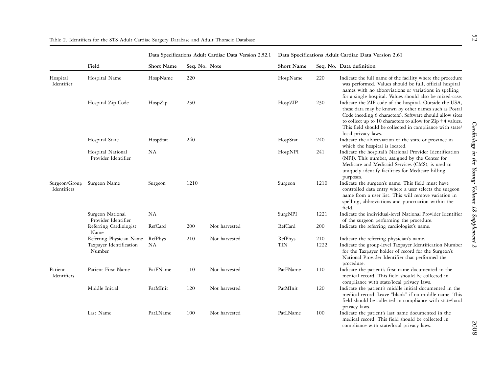|                              | Field                                                         | Data Specifications Adult Cardiac Data Version 2.52.1 |               |               | Data Specifications Adult Cardiac Data Version 2.61 |             |                                                                                                                                                                                                                                                                                                                                         |  |
|------------------------------|---------------------------------------------------------------|-------------------------------------------------------|---------------|---------------|-----------------------------------------------------|-------------|-----------------------------------------------------------------------------------------------------------------------------------------------------------------------------------------------------------------------------------------------------------------------------------------------------------------------------------------|--|
|                              |                                                               | Short Name                                            | Seq. No. Note |               | Short Name                                          |             | Seq. No. Data definition                                                                                                                                                                                                                                                                                                                |  |
| Hospital<br>Identifier       | Hospital Name                                                 | HospName                                              | 220           |               | HospName                                            | 220         | Indicate the full name of the facility where the procedure<br>was performed. Values should be full, official hospital<br>names with no abbreviations or variations in spelling<br>for a single hospital. Values should also be mixed-case.                                                                                              |  |
|                              | Hospital Zip Code                                             | HospZip                                               | 230           |               | HospZIP                                             | 230         | Indicate the ZIP code of the hospital. Outside the USA,<br>these data may be known by other names such as Postal<br>Code (needing 6 characters). Software should allow sites<br>to collect up to 10 characters to allow for $\mathsf{Zip+4}$ values.<br>This field should be collected in compliance with state/<br>local privacy laws. |  |
|                              | Hospital State                                                | HospStat                                              | 240           |               | HospStat                                            | 240         | Indicate the abbreviation of the state or province in<br>which the hospital is located.                                                                                                                                                                                                                                                 |  |
|                              | Hospital National<br>Provider Identifier                      | NA                                                    |               |               | HospNPI                                             | 241         | Indicate the hospital's National Provider Identification<br>(NPI). This number, assigned by the Center for<br>Medicare and Medicaid Services (CMS), is used to<br>uniquely identify facilities for Medicare billing<br>purposes.                                                                                                        |  |
| Surgeon/Group<br>Identifiers | Surgeon Name                                                  | Surgeon                                               | 1210          |               | Surgeon                                             | 1210        | Indicate the surgeon's name. This field must have<br>controlled data entry where a user selects the surgeon<br>name from a user list. This will remove variation in<br>spelling, abbreviations and punctuation within the<br>field.                                                                                                     |  |
|                              | Surgeon National<br>Provider Identifier                       | NA                                                    |               |               | SurgNPI                                             | 1221        | Indicate the individual-level National Provider Identifier<br>of the surgeon performing the procedure.                                                                                                                                                                                                                                  |  |
|                              | Referring Cardiologist<br>Name                                | RefCard                                               | 200           | Not harvested | RefCard                                             | 200         | Indicate the referring cardiologist's name.                                                                                                                                                                                                                                                                                             |  |
|                              | Referring Physician Name<br>Taxpayer Identification<br>Number | RefPhys<br>NA                                         | 210           | Not harvested | RefPhys<br><b>TIN</b>                               | 210<br>1222 | Indicate the referring physician's name.<br>Indicate the group-level Taxpayer Identification Number<br>for the Taxpayer holder of record for the Surgeon's<br>National Provider Identifier that performed the<br>procedure.                                                                                                             |  |
| Patient<br>Identifiers       | Patient First Name                                            | PatFName                                              | 110           | Not harvested | PatFName                                            | 110         | Indicate the patient's first name documented in the<br>medical record. This field should be collected in<br>compliance with state/local privacy laws.                                                                                                                                                                                   |  |
|                              | Middle Initial                                                | PatMInit                                              | 120           | Not harvested | PatMInit                                            | 120         | Indicate the patient's middle initial documented in the<br>medical record. Leave "blank" if no middle name. This<br>field should be collected in compliance with state/local<br>privacy laws.                                                                                                                                           |  |
|                              | Last Name                                                     | PatLName                                              | 100           | Not harvested | PatLName                                            | 100         | Indicate the patient's last name documented in the<br>medical record. This field should be collected in<br>compliance with state/local privacy laws.                                                                                                                                                                                    |  |

# Table 2. Identifiers for the STS Adult Cardiac Surgery Database and Adult Thoracic Database

2008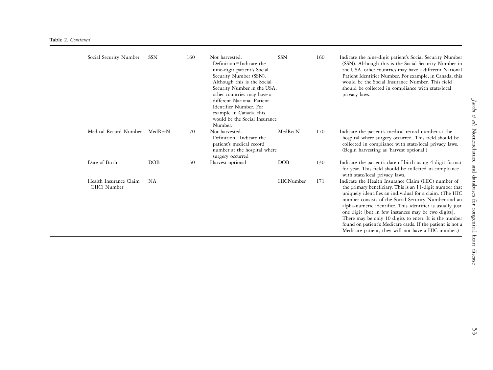Table 2. Continued

| Social Security Number                 | <b>SSN</b> | 160 | Not harvested.<br>Definition=Indicate the<br>nine-digit patient's Social<br>Security Number (SSN).<br>Although this is the Social<br>Security Number in the USA,<br>other countries may have a<br>different National Patient<br>Identifier Number. For<br>example in Canada, this<br>would be the Social Insurance<br>Number. | <b>SSN</b> | 160 | Indicate the nine-digit patient's Social Security Number<br>(SSN). Although this is the Social Security Number in<br>the USA, other countries may have a different National<br>Patient Identifier Number. For example, in Canada, this<br>would be the Social Insurance Number. This field<br>should be collected in compliance with state/local<br>privacy laws.                                                                                                                                                                     |
|----------------------------------------|------------|-----|-------------------------------------------------------------------------------------------------------------------------------------------------------------------------------------------------------------------------------------------------------------------------------------------------------------------------------|------------|-----|---------------------------------------------------------------------------------------------------------------------------------------------------------------------------------------------------------------------------------------------------------------------------------------------------------------------------------------------------------------------------------------------------------------------------------------------------------------------------------------------------------------------------------------|
| Medical Record Number                  | MedRecN    | 170 | Not harvested.<br>Definition=Indicate the<br>patient's medical record<br>number at the hospital where<br>surgery occurred                                                                                                                                                                                                     | MedRecN    | 170 | Indicate the patient's medical record number at the<br>hospital where surgery occurred. This field should be<br>collected in compliance with state/local privacy laws.<br>(Begin harvesting as 'harvest optional')                                                                                                                                                                                                                                                                                                                    |
| Date of Birth                          | DOB        | 130 | Harvest optional                                                                                                                                                                                                                                                                                                              | <b>DOB</b> | 130 | Indicate the patient's date of birth using 4-digit format<br>for year. This field should be collected in compliance<br>with state/local privacy laws.                                                                                                                                                                                                                                                                                                                                                                                 |
| Health Insurance Claim<br>(HIC) Number | NA         |     |                                                                                                                                                                                                                                                                                                                               | HICNumber  | 171 | Indicate the Health Insurance Claim (HIC) number of<br>the primary beneficiary. This is an 11-digit number that<br>uniquely identifies an individual for a claim. (The HIC<br>number consists of the Social Security Number and an<br>alpha-numeric identifier. This identifier is usually just<br>one digit [but in few instances may be two digits].<br>There may be only 10 digits to enter. It is the number<br>found on patient's Medicare cards. If the patient is not a<br>Medicare patient, they will not have a HIC number.) |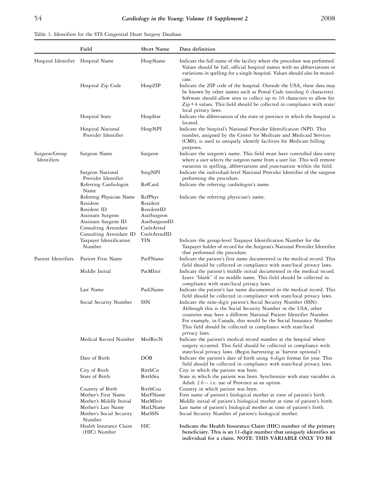Table 3. Identifiers for the STS Congenital Heart Surgery Database

|                                   | Field                                               | <b>Short Name</b>                 | Data definition                                                                                                                                                                                                                                                                                                                                                |
|-----------------------------------|-----------------------------------------------------|-----------------------------------|----------------------------------------------------------------------------------------------------------------------------------------------------------------------------------------------------------------------------------------------------------------------------------------------------------------------------------------------------------------|
| Hospital Identifier Hospital Name |                                                     | HospName                          | Indicate the full name of the facility where the procedure was performed.<br>Values should be full, official hospital names with no abbreviations or<br>variations in spelling for a single hospital. Values should also be mixed-<br>case.                                                                                                                    |
|                                   | Hospital Zip Code                                   | HospZIP                           | Indicate the ZIP code of the hospital. Outside the USA, these data may<br>be known by other names such as Postal Code (needing 6 characters).<br>Software should allow sites to collect up to 10 characters to allow for<br>Zip+4 values. This field should be collected in compliance with state/<br>local privacy laws.                                      |
|                                   | Hospital State                                      | HospStat                          | Indicate the abbreviation of the state or province in which the hospital is<br>located.                                                                                                                                                                                                                                                                        |
|                                   | Hospital National<br>Provider Identifier            | HospNPI                           | Indicate the hospital's National Provider Identification (NPI). This<br>number, assigned by the Center for Medicare and Medicaid Services<br>(CMS), is used to uniquely identify facilities for Medicare billing<br>purposes.                                                                                                                                  |
| Surgeon/Group<br>Identifiers      | Surgeon Name                                        | Surgeon                           | Indicate the surgeon's name. This field must have controlled data entry<br>where a user selects the surgeon name from a user list. This will remove<br>variation in spelling, abbreviations and punctuation within the field.                                                                                                                                  |
|                                   | Surgeon National<br>Provider Identifier             | SurgNPI                           | Indicate the individual-level National Provider Identifier of the surgeon<br>performing the procedure.                                                                                                                                                                                                                                                         |
|                                   | Referring Cardiologist<br>Name                      | RefCard                           | Indicate the referring cardiologist's name.                                                                                                                                                                                                                                                                                                                    |
|                                   | Referring Physician Name<br>Resident<br>Resident ID | RefPhys<br>Resident<br>ResidentID | Indicate the referring physician's name.                                                                                                                                                                                                                                                                                                                       |
|                                   | Assistant Surgeon                                   | AsstSurgeon                       |                                                                                                                                                                                                                                                                                                                                                                |
|                                   | Assistant Surgeon ID                                | AsstSurgeonID                     |                                                                                                                                                                                                                                                                                                                                                                |
|                                   | Consulting Attendant                                | CnsltAttnd                        |                                                                                                                                                                                                                                                                                                                                                                |
|                                   | Consulting Attendant ID                             | CnsltAttndID<br>TIN               |                                                                                                                                                                                                                                                                                                                                                                |
|                                   | Taxpayer Identification<br>Number                   |                                   | Indicate the group-level Taxpayer Identification Number for the<br>Taxpayer holder of record for the Surgeon's National Provider Identifier<br>that performed the procedure.                                                                                                                                                                                   |
| Patient Identifiers               | Patient First Name                                  | PatFName                          | Indicate the patient's first name documented in the medical record. This<br>field should be collected in compliance with state/local privacy laws.                                                                                                                                                                                                             |
|                                   | Middle Initial                                      | PatMInit                          | Indicate the patient's middle initial documented in the medical record.<br>Leave "blank" if no middle name. This field should be collected in<br>compliance with state/local privacy laws.                                                                                                                                                                     |
|                                   | Last Name                                           | PatLName                          | Indicate the patient's last name documented in the medical record. This<br>field should be collected in compliance with state/local privacy laws.                                                                                                                                                                                                              |
|                                   | Social Security Number                              | <b>SSN</b>                        | Indicate the nine-digit patient's Social Security Number (SSN).<br>Although this is the Social Security Number in the USA, other<br>countries may have a different National Patient Identifier Number.<br>For example, in Canada, this would be the Social Insurance Number.<br>This field should be collected in compliance with state/local<br>privacy laws. |
|                                   | Medical Record Number                               | MedRecN                           | Indicate the patient's medical record number at the hospital where<br>surgery occurred. This field should be collected in compliance with<br>state/local privacy laws. (Begin harvesting as 'harvest optional')                                                                                                                                                |
|                                   | Date of Birth                                       | <b>DOB</b>                        | Indicate the patient's date of birth using 4-digit format for year. This<br>field should be collected in compliance with state/local privacy laws.                                                                                                                                                                                                             |
|                                   | City of Birth                                       | BirthCit                          | City in which the patient was born.                                                                                                                                                                                                                                                                                                                            |
|                                   | State of Birth                                      | BirthSta                          | State in which the patient was born. Synchronize with state variables in<br>Adult $2.6 - i.e.$ use of Province as an option.                                                                                                                                                                                                                                   |
|                                   | Country of Birth                                    | BirthCou                          | Country in which patient was born.                                                                                                                                                                                                                                                                                                                             |
|                                   | Mother's First Name                                 | MatFName                          | First name of patient's biological mother at time of patient's birth.                                                                                                                                                                                                                                                                                          |
|                                   | Mother's Middle Initial<br>Mother's Last Name       | MatMInit<br>MatLName              | Middle initial of patient's biological mother at time of patient's birth.<br>Last name of patient's biological mother at time of patient's birth.                                                                                                                                                                                                              |
|                                   | Mother's Social Security<br>Number                  | MatSSN                            | Social Security Number of patient's biological mother.                                                                                                                                                                                                                                                                                                         |
|                                   | Health Insurance Claim<br>(HIC) Number              | HІC                               | Indicate the Health Insurance Claim (HIC) number of the primary<br>beneficiary. This is an 11-digit number that uniquely identifies an<br>individual for a claim. NOTE: THIS VARIABLE ONLY TO BE                                                                                                                                                               |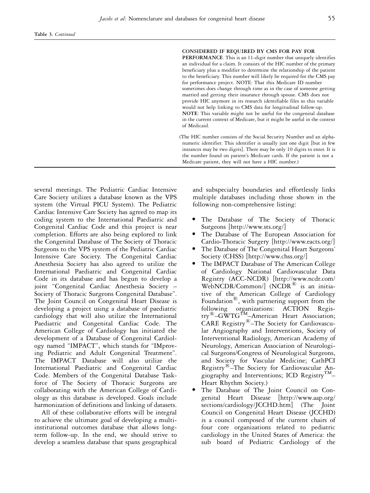| CONSIDERED IF REQUIRED BY CMS FOR PAY FOR<br><b>PERFORMANCE</b> . This is an 11-digit number that uniquely identifies<br>an individual for a claim. It consists of the HIC number of the primary<br>beneficiary plus a modifier to determine the relationship of the patient<br>to the beneficiary. This number will likely be required for the CMS pay<br>for performance project. NOTE: That this Medicare ID number<br>sometimes does change through time as in the case of someone getting<br>married and getting their insurance through spouse. CMS does not<br>provide HIC anymore in its research identifiable files so this variable<br>would not help linking to CMS data for longitudinal follow-up.<br>NOTE: This variable might not be useful for the congenital database |
|----------------------------------------------------------------------------------------------------------------------------------------------------------------------------------------------------------------------------------------------------------------------------------------------------------------------------------------------------------------------------------------------------------------------------------------------------------------------------------------------------------------------------------------------------------------------------------------------------------------------------------------------------------------------------------------------------------------------------------------------------------------------------------------|
| in the current context of Medicare, but it might be useful in the context<br>of Medicaid.                                                                                                                                                                                                                                                                                                                                                                                                                                                                                                                                                                                                                                                                                              |
| (The HIC number consists of the Social Security Number and an alpha-<br>numeric identifier. This identifier is usually just one digit [but in few                                                                                                                                                                                                                                                                                                                                                                                                                                                                                                                                                                                                                                      |

instances may be two digits]. There may be only 10 digits to enter. It is

several meetings. The Pediatric Cardiac Intensive and subspecialty boundaries and effortlessly links multiple databases including those shown in the following non-comprehensive listing: The Database of The Society of Thoracic Surgeons [http://www.sts.org/] The Database of The European Association for Cardio-Thoracic Surgery [http://www.eacts.org/] The Database of The Congenital Heart Surgeons' Society (CHSS) [http://www.chss.org/] The IMPACT Database of The American College the number found on patient's Medicare cards. If the patient is not a Medicare patient, they will not have a HIC number.)

of Cardiology National Cardiovascular Data Registry (ACC-NCDR) [http://www.ncdr.com/  $WebNCDR/Common/$  (NCDR<sup>®</sup> is an initiative of the American College of Cardiology Foundation $^{(8)}$ , with partnering support from the following organizations: ACTION Regis- $\text{try}^{\overline{\text{B}}}-\text{GWTG}^{\overline{\text{TM}}}-\text{American Heart Association}$ ;  $CARE$  Registry<sup>®</sup>-The Society for Cardiovascular Angiography and Interventions, Society of Interventional Radiology, American Academy of Neurology, American Association of Neurological Surgeons/Congress of Neurological Surgeons, and Society for Vascular Medicine; CathPCI Registry<sup>®</sup>-The Society for Cardiovascular Angiography and Interventions; ICD Registry<sup>TM</sup>-Heart Rhythm Society.)

The Database of The Joint Council on Congenital Heart Disease [http://www.aap.org/ sections/cardiology/JCCHD.htm] (The Joint Council on Congenital Heart Disease (JCCHD) is a council composed of the current chairs of four core organizations related to pediatric cardiology in the United States of America: the sub board of Pediatric Cardiology of the

Care Society utilizes a database known as the VPS system (the Virtual PICU System). The Pediatric Cardiac Intensive Care Society has agreed to map its coding system to the International Paediatric and Congenital Cardiac Code and this project is near completion. Efforts are also being explored to link the Congenital Database of The Society of Thoracic Surgeons to the VPS system of the Pediatric Cardiac Intensive Care Society. The Congenital Cardiac Anesthesia Society has also agreed to utilize the International Paediatric and Congenital Cardiac Code in its database and has begun to develop a joint ''Congenital Cardiac Anesthesia Society – Society of Thoracic Surgeons Congenital Database''. The Joint Council on Congenital Heart Disease is developing a project using a database of paediatric cardiology that will also utilize the International Paediatric and Congenital Cardiac Code. The American College of Cardiology has initiated the development of a Database of Congenital Cardiology named ''IMPACT'', which stands for ''IMproving Pediatric and Adult Congenital Treatment''. The IMPACT Database will also utilize the International Paediatric and Congenital Cardiac Code. Members of the Congenital Database Taskforce of The Society of Thoracic Surgeons are collaborating with the American College of Cardiology as this database is developed. Goals include harmonization of definitions and linking of datasets.

All of these collaborative efforts will be integral to achieve the ultimate goal of developing a multiinstitutional outcomes database that allows longterm follow-up. In the end, we should strive to develop a seamless database that spans geographical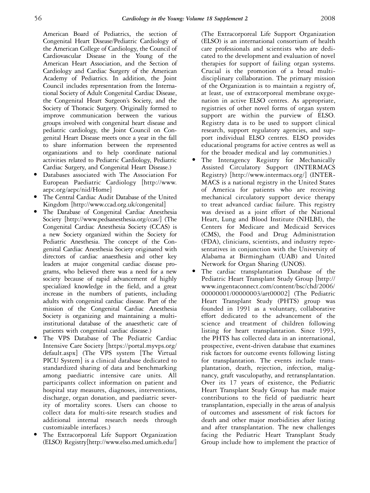American Board of Pediatrics, the section of Congenital Heart Disease/Pediatric Cardiology of the American College of Cardiology, the Council of Cardiovascular Disease in the Young of the American Heart Association, and the Section of Cardiology and Cardiac Surgery of the American Academy of Pediatrics. In addition, the Joint Council includes representation from the International Society of Adult Congenital Cardiac Disease, the Congenital Heart Surgeon's Society, and the Society of Thoracic Surgery. Originally formed to improve communication between the various groups involved with congenital heart disease and pediatric cardiology, the Joint Council on Congenital Heart Disease meets once a year in the fall to share information between the represented organizations and to help coordinate national activities related to Pediatric Cardiology, Pediatric Cardiac Surgery, and Congenital Heart Disease.)

- <sup>&</sup>gt; Databases associated with The Association For European Paediatric Cardiology [http://www. aepc.org/aepc/nid/Home]
- The Central Cardiac Audit Database of the United Kingdom [http://www.ccad.org.uk/congenital]
- The Database of Congenital Cardiac Anesthesia Society [http://www.pedsanesthesia.org/ccas/] (The Congenital Cardiac Anesthesia Society (CCAS) is a new Society organized within the Society for Pediatric Anesthesia. The concept of the Congenital Cardiac Anesthesia Society originated with directors of cardiac anaesthesia and other key leaders at major congenital cardiac disease programs, who believed there was a need for a new society because of rapid advancement of highly specialized knowledge in the field, and a great increase in the numbers of patients, including adults with congenital cardiac disease. Part of the mission of the Congenital Cardiac Anesthesia Society is organizing and maintaining a multiinstitutional database of the anaesthetic care of patients with congenital cardiac disease.)
- The VPS Database of The Pediatric Cardiac Intensive Care Society [https://portal.myvps.org/ default.aspx] (The VPS system [The Virtual PICU System] is a clinical database dedicated to standardized sharing of data and benchmarking among paediatric intensive care units. All participants collect information on patient and hospital stay measures, diagnoses, interventions, discharge, organ donation, and paediatric severity of mortality scores. Users can choose to collect data for multi-site research studies and additional internal research needs through customizable interfaces.)
- The Extracorporeal Life Support Organization (ELSO) Registry[http://www.elso.med.umich.edu/]

(The Extracorporeal Life Support Organization (ELSO) is an international consortium of health care professionals and scientists who are dedicated to the development and evaluation of novel therapies for support of failing organ systems. Crucial is the promotion of a broad multidisciplinary collaboration. The primary mission of the Organization is to maintain a registry of, at least, use of extracorporeal membrane oxygenation in active ELSO centres. As appropriate, registries of other novel forms of organ system support are within the purview of ELSO. Registry data is to be used to support clinical research, support regulatory agencies, and support individual ELSO centres. ELSO provides educational programs for active centres as well as for the broader medical and lay communities.)

- The Interagency Registry for Mechanically Assisted Circulatory Support (INTERMACS Registry) [http://www.intermacs.org/] (INTER-MACS is a national registry in the United States of America for patients who are receiving mechanical circulatory support device therapy to treat advanced cardiac failure. This registry was devised as a joint effort of the National Heart, Lung and Blood Institute (NHLBI), the Centers for Medicare and Medicaid Services (CMS), the Food and Drug Administration (FDA), clinicians, scientists, and industry representatives in conjunction with the University of Alabama at Birmingham (UAB) and United Network for Organ Sharing (UNOS).
- The cardiac transplantation Database of the Pediatric Heart Transplant Study Group [http:// www.ingentaconnect.com/content/bsc/chd/2006/ 00000001/00000003/art00002] (The Pediatric Heart Transplant Study (PHTS) group was founded in 1991 as a voluntary, collaborative effort dedicated to the advancement of the science and treatment of children following listing for heart transplantation. Since 1993, the PHTS has collected data in an international, prospective, event-driven database that examines risk factors for outcome events following listing for transplantation. The events include transplantation, death, rejection, infection, malignancy, graft vasculopathy, and retransplantation. Over its 17 years of existence, the Pediatric Heart Transplant Study Group has made major contributions to the field of paediatric heart transplantation, especially in the areas of analysis of outcomes and assessment of risk factors for death and other major morbidities after listing and after transplantation. The new challenges facing the Pediatric Heart Transplant Study Group include how to implement the practice of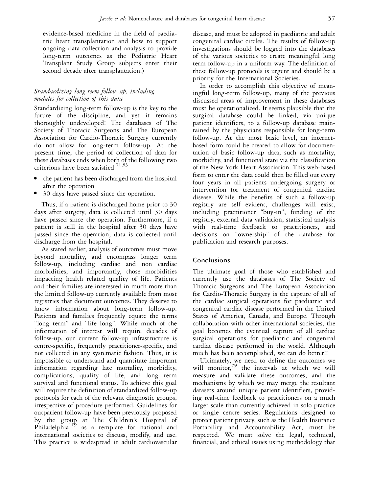evidence-based medicine in the field of paediatric heart transplantation and how to support ongoing data collection and analysis to provide long-term outcomes as the Pediatric Heart Transplant Study Group subjects enter their second decade after transplantation.)

# Standardizing long term follow-up, including modules for collection of this data

Standardizing long-term follow-up is the key to the future of the discipline, and yet it remains thoroughly undeveloped! The databases of The Society of Thoracic Surgeons and The European Association for Cardio-Thoracic Surgery currently do not allow for long-term follow-up. At the present time, the period of collection of data for these databases ends when both of the following two criterions have been satisfied: $71,83$ 

- the patient has been discharged from the hospital after the operation
- <sup>&</sup>gt; 30 days have passed since the operation.

Thus, if a patient is discharged home prior to 30 days after surgery, data is collected until 30 days have passed since the operation. Furthermore, if a patient is still in the hospital after 30 days have passed since the operation, data is collected until discharge from the hospital.

As stated earlier, analysis of outcomes must move beyond mortality, and encompass longer term follow-up, including cardiac and non cardiac morbidities, and importantly, those morbidities impacting health related quality of life. Patients and their families are interested in much more than the limited follow-up currently available from most registries that document outcomes. They deserve to know information about long-term follow-up. Patients and families frequently equate the terms "long term" and "life long". While much of the information of interest will require decades of follow-up, our current follow-up infrastructure is centre-specific, frequently practitioner-specific, and not collected in any systematic fashion. Thus, it is impossible to understand and quantitate important information regarding late mortality, morbidity, complications, quality of life, and long term survival and functional status. To achieve this goal will require the definition of standardized follow-up protocols for each of the relevant diagnostic groups, irrespective of procedure performed. Guidelines for outpatient follow-up have been previously proposed by the group at The Children's Hospital of  $Philadelphia<sup>119</sup>$  as a template for national and international societies to discuss, modify, and use. This practice is widespread in adult cardiovascular

disease, and must be adopted in paediatric and adult congenital cardiac circles. The results of follow-up investigations should be logged into the databases of the various societies to create meaningful long term follow-up in a uniform way. The definition of these follow-up protocols is urgent and should be a priority for the International Societies.

In order to accomplish this objective of meaningful long-term follow-up, many of the previous discussed areas of improvement in these databases must be operationalized. It seems plausible that the surgical database could be linked, via unique patient identifiers, to a follow-up database maintained by the physicians responsible for long-term follow-up. At the most basic level, an internetbased form could be created to allow for documentation of basic follow-up data, such as mortality, morbidity, and functional state via the classification of the New York Heart Association. This web-based form to enter the data could then be filled out every four years in all patients undergoing surgery or intervention for treatment of congenital cardiac disease. While the benefits of such a follow-up registry are self evident, challenges will exist, including practitioner ''buy-in'', funding of the registry, external data validation, statistical analysis with real-time feedback to practitioners, and decisions on ''ownership'' of the database for publication and research purposes.

# **Conclusions**

The ultimate goal of those who established and currently use the databases of The Society of Thoracic Surgeons and The European Association for Cardio-Thoracic Surgery is the capture of all of the cardiac surgical operations for paediatric and congenital cardiac disease performed in the United States of America, Canada, and Europe. Through collaboration with other international societies, the goal becomes the eventual capture of all cardiac surgical operations for paediatric and congenital cardiac disease performed in the world. Although much has been accomplished, we can do better!!

Ultimately, we need to define the outcomes we will monitor,<sup>79</sup> the intervals at which we will measure and validate these outcomes, and the mechanisms by which we may merge the resultant datasets around unique patient identifiers, providing real-time feedback to practitioners on a much larger scale than currently achieved in solo practice or single centre series. Regulations designed to protect patient privacy, such as the Health Insurance Portability and Accountability Act, must be respected. We must solve the legal, technical, financial, and ethical issues using methodology that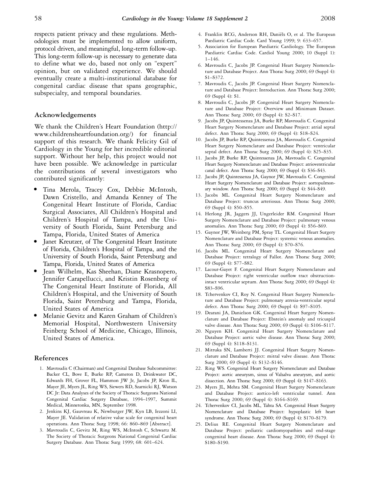respects patient privacy and these regulations. Methodologies must be implemented to allow uniform, protocol driven, and meaningful, long-term follow-up. This long-term follow-up is necessary to generate data to define what we do, based not only on ''expert'' opinion, but on validated experience. We should eventually create a multi-institutional database for congenital cardiac disease that spans geographic, subspecialty, and temporal boundaries.

# Acknowledgements

We thank the Children's Heart Foundation (http:// www.childrensheartfoundation.org/) for financial support of this research. We thank Felicity Gil of Cardiology in the Young for her incredible editorial support. Without her help, this project would not have been possible. We acknowledge in particular the contributions of several investigators who contributed significantly:

- <sup>&</sup>gt; Tina Merola, Tracey Cox, Debbie McIntosh, Dawn Cristello, and Amanda Kenney of The Congenital Heart Institute of Florida, Cardiac Surgical Associates, All Children's Hospital and Children's Hospital of Tampa, and the University of South Florida, Saint Petersburg and Tampa, Florida, United States of America
- Janet Kreutzer, of The Congenital Heart Institute of Florida, Children's Hospital of Tampa, and the University of South Florida, Saint Petersburg and Tampa, Florida, United States of America
- <sup>&</sup>gt; Jean Wilhelm, Kas Sheehan, Diane Krasnopero, Jennifer Carapellucci, and Kristin Rosenberg of The Congenital Heart Institute of Florida, All Children's Hospital, and the University of South Florida, Saint Petersburg and Tampa, Florida, United States of America
- <sup>&</sup>gt; Melanie Gevitz and Karen Graham of Children's Memorial Hospital, Northwestern University Feinberg School of Medicine, Chicago, Illinois, United States of America.

#### References

- 1. Mavroudis C (Chairman) and Congenital Database Subcommittee: Backer CL, Bove E, Burke RP, Cameron D, Drinkwater DC, Edwards FH, Grover FL, Hammon JW Jr, Jacobs JP, Kron IL, Mayer JE, Myers JL, Ring WS, Siewers RD, Szarnicki RJ, Watson DC Jr: Data Analyses of the Society of Thoracic Surgeons National Congenital Cardiac Surgery Database, 1994–1997, Summit Medical, Minnetonka, MN, September 1998.
- 2. Jenkins KJ, Gauvreau K, Newburger JW, Kyn LB, Iezzoni LI, Mayer JE. Validation of relative value scale for congenital heart operations. Ann Thorac Surg 1998; 66: 860–869 [Abstract].
- 3. Mavroudis C, Gevitz M, Ring WS, McIntosh C, Schwartz M. The Society of Thoracic Surgeons National Congenital Cardiac Surgery Database. Ann Thorac Surg 1999; 68: 601–624.
- 4. Franklin RCG, Anderson RH, Daniëls O, et al. The European Paediatric Cardiac Code. Card Young 1999; 9: 633–657.
- 5. Association for European Paediatric Cardiology. The European Paediatric Cardiac Code. Cardiol Young 2000; 10 (Suppl 1): 1–146.
- 6. Mavroudis C, Jacobs JP. Congenital Heart Surgery Nomenclature and Database Project. Ann Thorac Surg 2000; 69 (Suppl 4): S1–S372.
- 7. Mavroudis C, Jacobs JP. Congenital Heart Surgery Nomenclature and Database Project: Introduction. Ann Thorac Surg 2000; 69 (Suppl 4): S1.
- 8. Mavroudis C, Jacobs JP. Congenital Heart Surgery Nomenclature and Database Project: Overview and Minimum Dataset. Ann Thorac Surg 2000; 69 (Suppl 4): S2–S17.
- 9. Jacobs JP, Quintessenza JA, Burke RP, Mavroudis C. Congenital Heart Surgery Nomenclature and Database Project: atrial septal defect. Ann Thorac Surg 2000; 69 (Suppl 4): S18–S24.
- 10. Jacobs JP, Burke RP, Quintessenza JA, Mavroudis C. Congenital Heart Surgery Nomenclature and Database Project: ventricular septal defect. Ann Thorac Surg 2000; 69 (Suppl 4): S25–S35.
- 11. Jacobs JP, Burke RP, Quintessenza JA, Mavroudis C. Congenital Heart Surgery Nomenclature and Database Project: atrioventricular canal defect. Ann Thorac Surg 2000; 69 (Suppl 4): S36–S43.
- 12. Jacobs JP, Quintessenza JA, Gaynor JW, Mavroudis C. Congenital Heart Surgery Nomenclature and Database Project: aortopulmonary window. Ann Thorac Surg 2000; 69 (Suppl 4): S44–S49.
- 13. Jacobs ML. Congenital Heart Surgery Nomenclature and Database Project: truncus arteriosus. Ann Thorac Surg 2000; 69 (Suppl 4): S50–S55.
- 14. Herlong JR, Jaggers JJ, Ungerleider RM. Congenital Heart Surgery Nomenclature and Database Project: pulmonary venous anomalies. Ann Thorac Surg 2000; 69 (Suppl 4): S56–S69.
- 15. Gaynor JW, Weinberg PM, Spray TL. Congenital Heart Surgery Nomenclature and Database Project: systemic venous anomalies. Ann Thorac Surg 2000; 69 (Suppl 4): S70–S76.
- 16. Jacobs ML. Congenital Heart Surgery Nomenclature and Database Project: tetralogy of Fallot. Ann Thorac Surg 2000; 69 (Suppl 4): S77–S82.
- 17. Lacour-Gayet F. Congenital Heart Surgery Nomenclature and Database Project: right ventricular outflow tract obstructionintact ventricular septum. Ann Thorac Surg 2000; 69 (Suppl 4): S83–S96.
- 18. Tchervenkov CI, Roy N. Congenital Heart Surgery Nomenclature and Database Project: pulmonary atresia-ventricular septal defect. Ann Thorac Surg 2000; 69 (Suppl 4): S97–S105.
- 19. Dearani JA, Danielson GK. Congenital Heart Surgery Nomenclature and Database Project: Ebstein's anomaly and tricuspid valve disease. Ann Thorac Surg 2000; 69 (Suppl 4): S106–S117.
- 20. Nguyen KH. Congenital Heart Surgery Nomenclature and Database Project: aortic valve disease. Ann Thorac Surg 2000; 69 (Suppl 4): S118–S131.
- 21. Mitruka SN, Lamberti JJ. Congenital Heart Surgery Nomenclature and Database Project: mitral valve disease. Ann Thorac Surg 2000; 69 (Suppl 4): S132–S146.
- 22. Ring WS. Congenital Heart Surgery Nomenclature and Database Project: aortic aneurysm, sinus of Valsalva aneurysm, and aortic dissection. Ann Thorac Surg 2000; 69 (Suppl 4): S147–S163.
- 23. Myers JL, Mehta SM. Congenital Heart Surgery Nomenclature and Database Project: aortico-left ventricular tunnel. Ann Thorac Surg 2000; 69 (Suppl 4): S164–S169.
- 24. Tchervenkov CI, Jacobs ML, Tahta SA. Congenital Heart Surgery Nomenclature and Database Project: hypoplastic left heart syndrome. Ann Thorac Surg 2000; 69 (Suppl 4): S170–S179.
- 25. Delius RE. Congenital Heart Surgery Nomenclature and Database Project: pediatric cardiomyopathies and end-stage congenital heart disease. Ann Thorac Surg 2000; 69 (Suppl 4): S180–S190.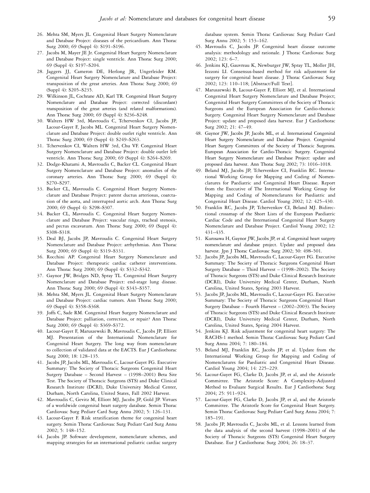- 26. Mehta SM, Myers JL. Congenital Heart Surgery Nomenclature and Database Project: diseases of the pericardium. Ann Thorac Surg 2000; 69 (Suppl 4): S191–S196.
- 27. Jacobs M, Mayer JE Jr. Congenital Heart Surgery Nomenclature and Database Project: single ventricle. Ann Thorac Surg 2000; 69 (Suppl 4): S197–S204.
- 28. Jaggers JJ, Cameron DE, Herlong JR, Ungerleider RM. Congenital Heart Surgery Nomenclature and Database Project: transposition of the great arteries. Ann Thorac Surg 2000; 69 (Suppl 4): S205–S235.
- 29. Wilkinson JL, Cochrane AD, Karl TR. Congenital Heart Surgery Nomenclature and Database Project: corrected (discordant) transposition of the great arteries (and related malformations). Ann Thorac Surg 2000; 69 (Suppl 4): S236–S248.
- 30. Walters HW 3rd, Mavroudis C, Tchervenkov CI, Jacobs JP, Lacour-Gayet F, Jacobs ML. Congenital Heart Surgery Nomenclature and Database Project: double outlet right ventricle. Ann Thorac Surg 2000; 69 (Suppl 4): S249–S263.
- 31. Tchervenkov CI, Walters HW 3rd, Chu VF. Congenital Heart Surgery Nomenclature and Database Project: double outlet left ventricle. Ann Thorac Surg 2000; 69 (Suppl 4): S264–S269.
- 32. Dodge-Khatami A, Mavroudis C, Backer CL. Congenital Heart Surgery Nomenclature and Database Project: anomalies of the coronary arteries. Ann Thorac Surg 2000; 69 (Suppl 4): S270–S297.
- 33. Backer CL, Mavroudis C. Congenital Heart Surgery Nomenclature and Database Project: patent ductus arteriosus, coarctation of the aorta, and interrupted aortic arch. Ann Thorac Surg 2000; 69 (Suppl 4): S298–S307.
- 34. Backer CL, Mavroudis C. Congenital Heart Surgery Nomenclature and Database Project: vascular rings, tracheal stenosis, and pectus excavatum. Ann Thorac Surg 2000; 69 (Suppl 4): S308–S318.
- 35. Deal BJ, Jacobs JP, Mavroudis C. Congenital Heart Surgery Nomenclature and Database Project: arrhythmias. Ann Thorac Surg 2000; 69 (Suppl 4): S319–S331.
- 36. Rocchini AP. Congenital Heart Surgery Nomenclature and Database Project: therapeutic cardiac catheter interventions. Ann Thorac Surg 2000; 69 (Suppl 4): S332–S342.
- 37. Gaynor JW, Bridges ND, Spray TL. Congenital Heart Surgery Nomenclature and Database Project: end-stage lung disease. Ann Thorac Surg 2000; 69 (Suppl 4): S343–S357.
- 38. Mehta SM, Myers JL. Congenital Heart Surgery Nomenclature and Database Project: cardiac tumors. Ann Thorac Surg 2000; 69 (Suppl 4): S358–S368.
- 39. Joffs C, Sade RM. Congenital Heart Surgery Nomenclature and Database Project: palliation, correction, or repair? Ann Thorac Surg 2000; 69 (Suppl 4): S369–S372.
- 40. Lacour-Gayet F, Maruszewski B, Mavroudis C, Jacobs JP, Elliott MJ. Presentation of the International Nomenclature for Congenital Heart Surgery. The long way from nomenclature to collection of validated data at the EACTS. Eur J Cardiothorac Surg 2000; 18: 128–135.
- 41. Jacobs JP, Jacobs ML, Mavroudis C, Lacour-Gayet FG. Executive Summary: The Society of Thoracic Surgeons Congenital Heart Surgery Database – Second Harvest – (1998–2001) Beta Site Test. The Society of Thoracic Surgeons (STS) and Duke Clinical Research Institute (DCRI), Duke University Medical Center, Durham, North Carolina, United States, Fall 2002 Harvest.
- 42. Mavroudis C, Gevitz M, Elliott MJ, Jacobs JP, Gold JP. Virtues of a worldwide congenital heart surgery database. Semin Thorac Cardiovasc Surg Pediatr Card Surg Annu 2002; 5: 126–131.
- 43. Lacour-Gayet F. Risk stratification theme for congenital heart surgery. Semin Thorac Cardiovasc Surg Pediatr Card Surg Annu 2002; 5: 148–152.
- 44. Jacobs JP. Software development, nomenclature schemes, and mapping strategies for an international pediatric cardiac surgery

database system. Semin Thorac Cardiovasc Surg Pediatr Card Surg Annu 2002; 5: 153–162.

- 45. Mavroudis C, Jacobs JP. Congenital heart disease outcome analysis: methodology and rationale. J Thorac Cardiovasc Surg 2002; 123: 6–7.
- 46. Jenkins KJ, Gauvreau K, Newburger JW, Spray TL, Moller JH, Iezzoni LI. Consensus-based method for risk adjustment for surgery for congenital heart disease. J Thorac Cardiovasc Surg 2002; 123: 110–118; [Abstract/Full Text].
- 47. Maruszewski B, Lacour-Gayet F, Elliott MJ, et al. International Congenital Heart Surgery Nomenclature and Database Project; Congenital Heart Surgery Committees of the Society of Thoracic Surgeons and the European Association for Cardio-thoracic Surgery. Congenital Heart Surgery Nomenclature and Database Project: update and proposed data harvest. Eur J Cardiothorac Surg 2002; 21: 47–49.
- 48. Gaynor JW, Jacobs JP, Jacobs ML, et al. International Congenital Heart Surgery Nomenclature and Database Project. Congenital Heart Surgery Committees of the Society of Thoracic Surgeons. European Association for Cardio-Thoracic Surgery. Congenital Heart Surgery Nomenclature and Database Project: update and proposed data harvest. Ann Thorac Surg 2002; 73: 1016–1018.
- 49. Beland MJ, Jacobs JP, Tchervenkov CI, Franklin RC. International Working Group for Mapping and Coding of Nomenclatures for Paediatric and Congenital Heart Disease. Report from the Executive of The International Working Group for Mapping and Coding of Nomenclatures for Paediatric and Congenital Heart Disease. Cardiol Young 2002; 12: 425–430.
- 50. Franklin RC, Jacobs JP, Tchervenkov CI, Beland MJ. Bidirectional crossmap of the Short Lists of the European Paediatric Cardiac Code and the International Congenital Heart Surgery Nomenclature and Database Project. Cardiol Young 2002; 12: 431–435.
- 51. Kurosawa H, Gaynor JW, Jacobs JP, et al. Congenital heart surgery nomenclature and database project. Update and proposed data harvest. Jpn J Thorac Cardiovasc Surg 2002; 50: 498-501.
- 52. Jacobs JP, Jacobs ML, Mavroudis C, Lacour-Gayet FG. Executive Summary: The Society of Thoracic Surgeons Congenital Heart Surgery Database – Third Harvest – (1998–2002). The Society of Thoracic Surgeons (STS) and Duke Clinical Research Institute (DCRI), Duke University Medical Center, Durham, North Carolina, United States, Spring 2003 Harvest.
- 53. Jacobs JP, Jacobs ML, Mavroudis C, Lacour-Gayet FG. Executive Summary: The Society of Thoracic Surgeons Congenital Heart Surgery Database – Fourth Harvest – (2002–2003). The Society of Thoracic Surgeons (STS) and Duke Clinical Research Institute (DCRI), Duke University Medical Center, Durham, North Carolina, United States, Spring 2004 Harvest.
- 54. Jenkins KJ. Risk adjustment for congenital heart surgery: The RACHS-1 method. Semin Thorac Cardiovasc Surg Pediatr Card Surg Annu 2004; 7: 180–184.
- 55. Beland MJ, Franklin RC, Jacobs JP, et al. Update from the International Working Group for Mapping and Coding of Nomenclatures for Paediatric and Congenital Heart Disease. Cardiol Young 2004; 14: 225–229.
- 56. Lacour-Gayet FG, Clarke D, Jacobs JP, et al, and the Aristotle Committee. The Aristotle Score: A Complexity-Adjusted Method to Evaluate Surgical Results. Eur J Cardiothorac Surg 2004; 25: 911–924.
- 57. Lacour-Gayet FG, Clarke D, Jacobs JP, et al, and the Aristotle Committee. The Aristotle Score for Congenital Heart Surgery. Semin Thorac Cardiovasc Surg Pediatr Card Surg Annu 2004; 7: 185–191.
- 58. Jacobs JP, Mavroudis C, Jacobs ML, et al. Lessons learned from the data analysis of the second harvest (1998–2001) of the Society of Thoracic Surgeons (STS) Congenital Heart Surgery Database. Eur J Cardiothorac Surg 2004; 26: 18–37.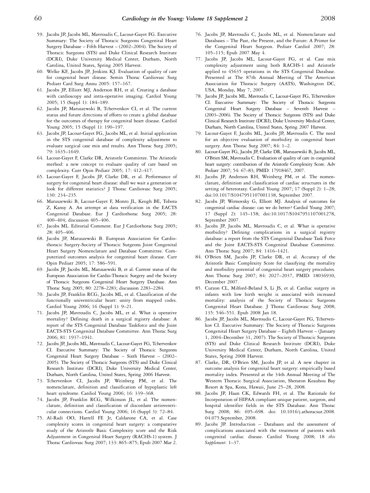- 59. Jacobs JP, Jacobs ML, Mavroudis C, Lacour-Gayet FG. Executive Summary: The Society of Thoracic Surgeons Congenital Heart Surgery Database – Fifth Harvest – (2002–2004). The Society of Thoracic Surgeons (STS) and Duke Clinical Research Institute (DCRI), Duke University Medical Center, Durham, North Carolina, United States, Spring 2005 Harvest.
- 60. Welke KF, Jacobs JP, Jenkins KJ. Evaluation of quality of care for congenital heart disease. Semin Thorac Cardiovasc Surg Pediatr Card Surg Annu 2005: 157–167.
- 61. Jacobs JP, Elliott MJ, Anderson RH, et al. Creating a database with cardioscopy and intra-operative imaging. Cardiol Young 2005; 15 (Suppl 1): 184–189.
- 62. Jacobs JP, Maruszewski B, Tchervenkov CI, et al. The current status and future directions of efforts to create a global database for the outcomes of therapy for congenital heart disease. Cardiol Young 2005; 15 (Suppl 1): 190–197.
- 63. Jacobs JP, Lacour-Gayet FG, Jacobs ML, et al. Initial application in the STS congenital database of complexity adjustment to evaluate surgical case mix and results. Ann Thorac Surg 2005; 79: 1635–1649.
- 64. Lacour-Gayet F, Clarke DR, Aristotle Committee. The Aristotle method: a new concept to evaluate quality of care based on complexity. Curr Opin Pediatr 2005; 17: 412–417.
- 65. Lacour-Gayet F, Jacobs JP, Clarke DR, et al. Performance of surgery for congenital heart disease: shall we wait a generation or look for different statistics? J Thorac Cardiovasc Surg 2005; 130: 234–235.
- 66. Maruszewski B, Lacour-Gayet F, Monro JL, Keogh BE, Tobota Z, Kansy A. An attempt at data verification in the EACTS Congenital Database. Eur J Cardiothorac Surg 2005; 28: 400–404; discussion 405–406.
- 67. Jacobs ML. Editorial Comment. Eur J Cardiothorac Surg 2005; 28: 405–406.
- 68. Jacobs JP, Maruszewski B. European Association for Cardiothoracic Surgery-Society of Thoracic Surgeons Joint Congenital Heart Surgery Nomenclature and Database Committee. Computerized outcomes analysis for congenital heart disease. Curr Opin Pediatr 2005; 17: 586–591.
- 69. Jacobs JP, Jacobs ML, Maruszewski B, et al. Current status of the European Association for Cardio-Thoracic Surgery and the Society of Thoracic Surgeons Congenital Heart Surgery Database. Ann Thorac Surg 2005; 80: 2278–2283; discussion 2283–2284.
- 70. Jacobs JP, Franklin RCG, Jacobs ML, et al. Classification of the functionally univentricular heart: unity from mapped codes. Cardiol Young 2006; 16 (Suppl 1): 9–21.
- 71. Jacobs JP, Mavroudis C, Jacobs ML, et al. What is operative mortality? Defining death in a surgical registry database: A report of the STS Congenital Database Taskforce and the Joint EACTS-STS Congenital Database Committee. Ann Thorac Surg 2006; 81: 1937–1941.
- 72. Jacobs JP, Jacobs ML, Mavroudis C, Lacour-Gayet FG, Tchervenkov CI. Executive Summary: The Society of Thoracic Surgeons Congenital Heart Surgery Database – Sixth Harvest – (2002– 2005). The Society of Thoracic Surgeons (STS) and Duke Clinical Research Institute (DCRI), Duke University Medical Center, Durham, North Carolina, United States, Spring 2006 Harvest.
- 73. Tchervenkov CI, Jacobs JP, Weinberg PM, et al. The nomenclature, definition and classification of hypoplastic left heart syndrome. Cardiol Young 2006; 16: 339–368.
- 74. Jacobs JP, Franklin RCG, Wilkinson JL, et al. The nomenclature, definition and classification of discordant atrioventricular connections. Cardiol Young 2006; 16 (Suppl 3): 72–84.
- 75. Al-Radi OO, Harrell FE Jr, Caldarone CA, et al. Case complexity scores in congenital heart surgery: a comparative study of the Aristotle Basic Complexity score and the Risk Adjustment in Congenital Heart Surgery (RACHS-1) system. J Thorac Cardiovasc Surg 2007; 133: 865–875; Epub 2007 Mar 2.
- 76. Jacobs JP, Mavroudis C, Jacobs ML, et al. Nomenclature and Databases – The Past, the Present, and the Future: A Primer for the Congenital Heart Surgeon. Pediatr Cardiol 2007; 28: 105–115; Epub 2007 May 4.
- 77. Jacobs JP, Jacobs ML, Lacour-Gayet FG, et al. Case mix complexity adjustment using both RACHS-1 and Aristotle applied to 45635 operations in the STS Congenital Database. Presented at The 87th Annual Meeting of The American Association for Thoracic Surgery (AATS), Washington DC, USA, Monday, May 7, 2007.
- 78. Jacobs JP, Jacobs ML, Mavroudis C, Lacour-Gayet FG, Tchervenkov CI. Executive Summary: The Society of Thoracic Surgeons Congenital Heart Surgery Database – Seventh Harvest – (2003–2006). The Society of Thoracic Surgeons (STS) and Duke Clinical Research Institute (DCRI), Duke University Medical Center, Durham, North Carolina, United States, Spring 2007 Harvest.
- 79. Lacour-Gayet F, Jacobs ML, Jacobs JP, Mavroudis C. The need for an objective evaluation of morbidity in congenital heart surgery. Ann Thorac Surg 2007; 84: 1–2.
- 80. Lacour-Gayet FG, Jacobs JP, Clarke DR, Maruszewski B, Jacobs ML, O'Brien SM, Mavroudis C. Evaluation of quality of care in congenital heart surgery: contribution of the Aristotle Complexity Score. Adv Pediatr 2007; 54: 67–83; PMID: 17918467, 2007.
- 81. Jacobs JP, Anderson RH, Weinberg PM, et al. The nomenclature, definition and classification of cardiac structures in the setting of heterotaxy. Cardiol Young 2007; 17 (Suppl 2): 1–28; doi:10.1017/S1047951107001138, September 2007.
- 82. Jacobs JP, Wernovsky G, Elliott MJ. Analysis of outcomes for congenital cardiac disease: can we do better? Cardiol Young 2007; 17 (Suppl 2): 145–158; doi:10.1017/S1047951107001278, September 2007.
- 83. Jacobs JP, Jacobs ML, Mavroudis C, et al. What is operative morbidity? Defining complications in a surgical registry database: a report from the STS Congenital Database Task Force and the Joint EACTS-STS Congenital Database Committee. Ann Thorac Surg 2007; 84: 1416–1421.
- 84. O'Brien SM, Jacobs JP, Clarke DR, et al. Accuracy of the Aristotle Basic Complexity Score for classifying the mortality and morbidity potential of congenital heart surgery procedures. Ann Thorac Surg 2007; 84: 2027–2037, PMID: 18036930, December 2007.
- 85. Curzon CL, Milford-Beland S, Li JS, et al. Cardiac surgery in infants with low birth weight is associated with increased mortality: analysis of the Society of Thoracic Surgeons Congenital Heart Database. J Thorac Cardiovasc Surg 2008; 135: 546–551. Epub 2008 Jan 18.
- 86. Jacobs JP, Jacobs ML, Mavroudis C, Lacour-Gayet FG, Tchervenkov CI. Executive Summary: The Society of Thoracic Surgeons Congenital Heart Surgery Database – Eighth Harvest – (January 1, 2004–December 31, 2007). The Society of Thoracic Surgeons (STS) and Duke Clinical Research Institute (DCRI), Duke University Medical Center, Durham, North Carolina, United States, Spring 2008 Harvest.
- 87. Clarke, DR, O'Brien SM, Jacobs JP, et al. A new chapter in outcome analysis for congenital heart surgery: empirically based mortality index. Presented at the 34th Annual Meeting of The Western Thoracic Surgical Association, Sheraton Keauhou Bay Resort & Spa, Kona, Hawaii, June 25–28, 2008.
- 88. Jacobs JP, Haan CK, Edwards FH, et al. The Rationale for Incorporation of HIPAA compliant unique patient, surgeon, and hospital identifier fields in the STS Database. Ann Thorac Surg 2008; 86: 695–698. doi: 10.1016/j.athoracsur.2008. 04.075.September, 2008.
- 89. Jacobs JP. Introduction Databases and the assessment of complications associated with the treatment of patients with congenital cardiac disease. Cardiol Young 2008; 18 this Supplement: 1-37.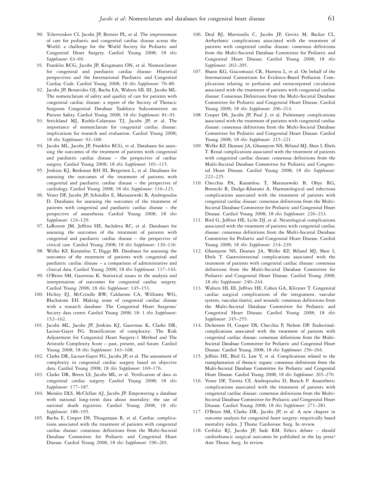- 90. Tchervenkov CI, Jacobs JP, Bernier PL, et al. The improvement of care for pediatric and congenital cardiac disease across the World: a challenge for the World Society for Pediatric and Congenital Heart Surgery. Cardiol Young 2008; 18 this Supplement: 63-69.
- 91. Franklin RCG, Jacobs JP, Krogmann ON, et al. Nomenclature for congenital and paediatric cardiac disease: Historical perspectives and the International Paediatric and Congenital Cardiac Code. Cardiol Young 2008; 18 this Supplement: 70–80.
- 92. Jacobs JP, Benavidez OJ, Bacha EA, Walters HL III, Jacobs ML. The nomenclature of safety and quality of care for patients with congenital cardiac disease: a report of the Society of Thoracic Surgeons Congenital Database Taskforce Subcommittee on Patient Safety. Cardiol Young 2008; 18 this Supplement: 81–91.
- 93. Strickland MJ, Riehle-Colarusso TJ, Jacobs JP, et al. The importance of nomenclature for congenital cardiac disease: implications for research and evaluation. Cardiol Young 2008; 18 this Supplement: 92–100.
- 94. Jacobs ML, Jacobs JP, Franklin RCG, et al. Databases for assessing the outcomes of the treatment of patients with congenital and paediatric cardiac disease – the perspective of cardiac surgery. Cardiol Young 2008; 18 this Supplement: 101-115.
- 95. Jenkins KJ, Beekman RH III, Bergersen L, et al. Databases for assessing the outcomes of the treatment of patients with congenital and paediatric cardiac disease – the perspective of cardiology. Cardiol Young 2008; 18 this Supplement: 116-123.
- 96. Vener DF, Jacobs JP, Schindler E, Maruszewski B, Andropoulos D. Databases for assessing the outcomes of the treatment of patients with congenital and paediatric cardiac disease – the perspective of anaesthesia. Cardiol Young 2008; 18 this Supplement: 124–129.
- 97. LaRovere JM, Jeffries HE, Sachdeva RC, et al. Databases for assessing the outcomes of the treatment of patients with congenital and paediatric cardiac disease – the perspective of critical care. Cardiol Young 2008; 18 this Supplement: 130–136.
- 98. Welke KF, Karamlou T, Diggs BS. Databases for assessing the outcomes of the treatment of patients with congenital and paediatric cardiac disease – a comparison of administrative and clinical data. Cardiol Young 2008; 18 this Supplement: 137-144.
- 99. O'Brien SM, Gauvreau K. Statistical issues in the analysis and interpretation of outcomes for congenital cardiac surgery. Cardiol Young 2008; 18 this Supplement: 145–151.
- 100. Hickey EJ, McCrindle BW, Caldarone CA, Williams WG, Blackstone EH. Making sense of congenital cardiac disease with a research database: The Congenital Heart Surgeons' Society data center. Cardiol Young 2008; 18: 1 this Supplement: 152–162.
- 101. Jacobs ML, Jacobs JP, Jenkins KJ, Gauvreau K, Clarke DR, Lacour-Gayet FG. Stratification of complexity: The Risk Adjustment for Congenital Heart Surgery-1 Method and The Aristotle Complexity Score – past, present, and future. Cardiol Young 2008; 18 this Supplement: 163–168.
- 102. Clarke DR, Lacour-Gayet FG, Jacobs JP, et al. The assessment of complexity in congenital cardiac surgery based on objective data. Cardiol Young 2008; 18 this Supplement: 169-176.
- 103. Clarke DR, Breen LS, Jacobs ML, et al. Verification of data in congenital cardiac surgery. Cardiol Young 2008; 18 this Supplement: 177–187.
- 104. Morales DLS, McClellan AJ, Jacobs JP. Empowering a database with national long-term data about mortality: the use of national death registries. Cardiol Young 2008; 18 this Supplement: 188–195.
- 105. Bacha E, Cooper DS, Thiagarajan R, et al. Cardiac complications associated with the treatment of patients with congenital cardiac disease: consensus definitions from the Multi-Societal Database Committee for Pediatric and Congenital Heart Disease. Cardiol Young 2008; 18 this Supplement: 196–201.
- 106. Deal BJ, Mavroudis C, Jacobs JP, Gevitz M, Backer CL. Arrhythmic complications associated with the treatment of patients with congenital cardiac disease: consensus definitions from the Multi-Societal Database Committee for Pediatric and Congenital Heart Disease. Cardiol Young 2008; 18 this Supplement: 202–205.
- 107. Shann KG, Giacomuzzi CR, Harness L, et al. On behalf of the International Consortium for Evidence-Based Perfusion. Complications relating to perfusion and extracorporeal circulation associated with the treatment of patients with congenital cardiac disease: Consensus Definitions from the Multi-Societal Database Committee for Pediatric and Congenital Heart Disease. Cardiol Young 2008; 18 this Supplement: 206-214.
- 108. Cooper DS, Jacobs JP, Paul J, et al. Pulmonary complications associated with the treatment of patients with congenital cardiac disease: consensus definitions from the Multi-Societal Database Committee for Pediatric and Congenital Heart Disease. Cardiol Young 2008; 18 this Supplement: 215–221.
- 109. Welke KF, Dearani JA, Ghanayem NS, Béland MJ, Shen I, Ebels T. Renal complications associated with the treatment of patients with congenital cardiac disease: consensus definitions from the Multi-Societal Database Committee for Pediatric and Congenital Heart Disease. Cardiol Young 2008; 18 this Supplement: 222–225.
- 110. Checchia PA, Karamlou T, Maruszewski B, Ohye RG, Bronicki R, Dodge-Khatami A. Haematological and infectious complications associated with the treatment of patients with congenital cardiac disease: consensus definitions from the Multi-Societal Database Committee for Pediatric and Congenital Heart Disease. Cardiol Young 2008; 18 this Supplement: 226–233.
- 111. Bird G, Jeffries HE, Licht DJ, et al. Neurological complications associated with the treatment of patients with congenital cardiac disease: consensus definitions from the Multi-Societal Database Committee for Pediatric and Congenital Heart Disease. Cardiol Young 2008; 18 this Supplement: 234–239.
- 112. Ghanayem NS, Dearani JA, Welke KF, Béland MJ, Shen I, Ebels T. Gastrointestinal complications associated with the treatment of patients with congenital cardiac disease: consensus definitions from the Multi-Societal Database Committee for Pediatric and Congenital Heart Disease. Cardiol Young 2008; 18 this Supplement: 240–244.
- 113. Walters HL III, Jeffries HE, Cohen GA, Klitzner T. Congenital cardiac surgical complications of the integument, vascular system, vascular-line(s), and wounds: consensus definitions from the Multi-Societal Database Committee for Pediatric and Congenital Heart Disease. Cardiol Young 2008; 18 this Supplement: 245–255.
- 114. Dickerson H, Cooper DS, Checchia P, Nelson DP. Endocrinalcomplications associated with the treatment of patients with congenital cardiac disease: consensus definitions from the Multi-Societal Database Committee for Pediatric and Congenital Heart Disease. Cardiol Young 2008; 18 this Supplement: 256–264.
- 115. Jeffries HE, Bird G, Law Y, et al. Complications related to the transplantation of thoracic organs: consensus definitions from the Multi-Societal Database Committee for Pediatric and Congenital Heart Disease. Cardiol Young 2008; 18 this Supplement: 265–270.
- 116. Vener DF, Tirotta CF, Andropoulos D, Barach P. Anaesthetic complications associated with the treatment of patients with congenital cardiac disease: consensus definitions from the Multi-Societal Database Committee for Pediatric and Congenital Heart Disease. Cardiol Young 2008; 18 this Supplement: 271–281.
- 117. O'Brien SM, Clarke DR, Jacobs JP, et al. A new chapter in outcome analysis for congenital heart surgery: empirically based mortality index. J Thorac Cardiovasc Surg. In review.
- 118. Cerfolio RJ, Jacobs JP, Sade RM. Ethics debate should cardiothoracic surgical outcomes be published in the lay press? Ann Thorac Surg. In review.